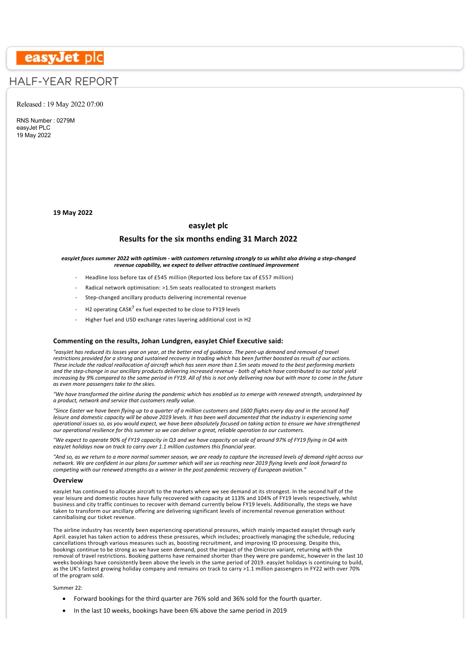# easyJet plc

# HALF-YEAR REPORT

# Released : 19 May 2022 07:00

RNS Number : 0279M easyJet PLC 19 May 2022

**19 May 2022**

# **easyJet plc**

# **Results for the six months ending 31 March 2022**

#### *easyJet faces summer 2022 with optimism ‐ with customers returning strongly to us whilst also driving a step‐changed revenue capability, we expect to deliver attractive continued improvement*

- Headline loss before tax of £545 million (Reported loss before tax of £557 million)
- ‐ Radical network optimisation: >1.5m seats reallocated to strongest markets
- Step-changed ancillary products delivering incremental revenue
- H2 operating CASK<sup>7</sup> ex fuel expected to be close to FY19 levels
- ‐ Higher fuel and USD exchange rates layering additional cost in H2

#### **Commenting on the results, Johan Lundgren, easyJet Chief Executive said:**

*"easyJet has reduced its losses year on year, at the better end of guidance. The pent‐up demand and removal of travel restrictions provided for a strong and sustained recovery in trading which has been further boosted as result of our actions. These include the radical reallocation of aircraft which has seen more than 1.5m seats moved to the best performing markets and the step‐change in our ancillary products delivering increased revenue ‐ both of which have contributed to our total yield increasing by 9% compared to the same period in FY19. All of this is not only delivering now but with more to come in the future as even more passengers take to the skies.*

*"We have transformed the airline during the pandemic which has enabled us to emerge with renewed strength, underpinned by a product, network and service that customers really value.*

*"Since Easter we have been flying up to a quarter of a million customers and 1600 flights every day and in the second half leisure and domestic capacity will be above 2019 levels. It has been well documented that the industry is experiencing some operational issues so, as you would expect, we have been absolutely focused on taking action to ensure we have strengthened our operational resilience for this summer so we can deliver a great, reliable operation to our customers.*

*"We expect to operate 90% of FY19 capacity in Q3 and we have capacity on sale of around 97% of FY19 flying in Q4 with easyJet holidays now on track to carry over 1.1 million customers this financial year.*

*"And so, as we return to a more normal summer season, we are ready to capture the increased levels of demand right across our network. We are confident in our plans for summer which will see us reaching near 2019 flying levels and look forward to competing with our renewed strengths as a winner in the post pandemic recovery of European aviation."*

#### **Overview**

easyJet has continued to allocate aircraft to the markets where we see demand at its strongest. In the second half of the year leisure and domestic routes have fully recovered with capacity at 113% and 104% of FY19 levels respectively, whilst business and city traffic continues to recover with demand currently below FY19 levels. Additionally, the steps we have taken to transform our ancillary offering are delivering significant levels of incremental revenue generation without cannibalising our ticket revenue.

The airline industry has recently been experiencing operational pressures, which mainly impacted easyJet through early April. easyJet has taken action to address these pressures, which includes; proactively managing the schedule, reducing cancellations through various measures such as, boosting recruitment, and improving ID processing. Despite this, bookings continue to be strong as we have seen demand, post the impact of the Omicron variant, returning with the removal of travel restrictions. Booking patterns have remained shorter than they were pre pandemic, however in the last 10 weeks bookings have consistently been above the levels in the same period of 2019. easyJet holidays is continuing to build, as the UK's fastest growing holiday company and remains on track to carry >1.1 million passengers in FY22 with over 70% of the program sold.

Summer 22:

- · Forward bookings for the third quarter are 76% sold and 36% sold for the fourth quarter.
- · In the last 10 weeks, bookings have been 6% above the same period in 2019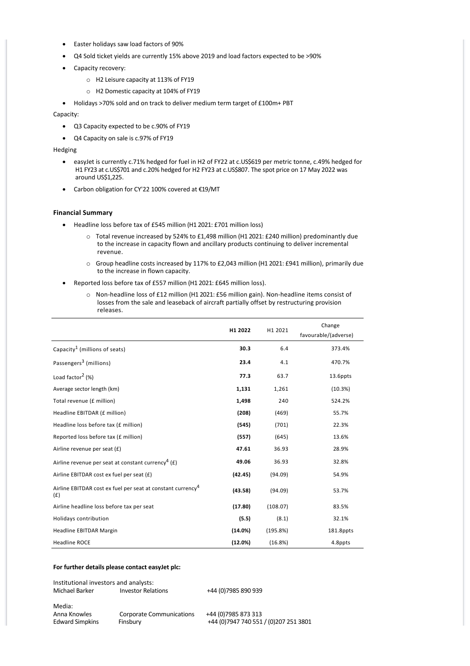- · Easter holidays saw load factors of 90%
- · Q4 Sold ticket yields are currently 15% above 2019 and load factors expected to be >90%
- Capacity recovery:
	- o H2 Leisure capacity at 113% of FY19
	- o H2 Domestic capacity at 104% of FY19
- · Holidays >70% sold and on track to deliver medium term target of £100m+ PBT

Capacity:

- · Q3 Capacity expected to be c.90% of FY19
- · Q4 Capacity on sale is c.97% of FY19

Hedging

- easyJet is currently c.71% hedged for fuel in H2 of FY22 at c.US\$619 per metric tonne, c.49% hedged for H1 FY23 at c.US\$701 and c.20% hedged for H2 FY23 at c.US\$807. The spot price on 17 May 2022 was around US\$1,225.
- · Carbon obligation for CY'22 100% covered at €19/MT

# **Financial Summary**

- · Headline loss before tax of £545 million (H1 2021: £701 million loss)
	- o Total revenue increased by 524% to £1,498 million (H1 2021: £240 million) predominantly due to the increase in capacity flown and ancillary products continuing to deliver incremental revenue.
	- o Group headline costs increased by 117% to £2,043 million (H1 2021: £941 million), primarily due to the increase in flown capacity.
- Reported loss before tax of £557 million (H1 2021: £645 million loss).
	- o Non‐headline loss of £12 million (H1 2021: £56 million gain). Non‐headline items consist of losses from the sale and leaseback of aircraft partially offset by restructuring provision releases.

|                                                                                | H1 2022 | H1 2021  | Change<br>favourable/(adverse) |
|--------------------------------------------------------------------------------|---------|----------|--------------------------------|
| Capacity <sup>1</sup> (millions of seats)                                      | 30.3    | 6.4      | 373.4%                         |
| Passengers <sup>3</sup> (millions)                                             | 23.4    | 4.1      | 470.7%                         |
| Load factor <sup>2</sup> (%)                                                   | 77.3    | 63.7     | 13.6ppts                       |
| Average sector length (km)                                                     | 1,131   | 1,261    | (10.3%)                        |
| Total revenue (£ million)                                                      | 1,498   | 240      | 524.2%                         |
| Headline EBITDAR (£ million)                                                   | (208)   | (469)    | 55.7%                          |
| Headline loss before tax (£ million)                                           | (545)   | (701)    | 22.3%                          |
| Reported loss before tax (£ million)                                           | (557)   | (645)    | 13.6%                          |
| Airline revenue per seat (£)                                                   | 47.61   | 36.93    | 28.9%                          |
| Airline revenue per seat at constant currency <sup>4</sup> (£)                 | 49.06   | 36.93    | 32.8%                          |
| Airline EBITDAR cost ex fuel per seat (£)                                      | (42.45) | (94.09)  | 54.9%                          |
| Airline EBITDAR cost ex fuel per seat at constant currency <sup>4</sup><br>(f) | (43.58) | (94.09)  | 53.7%                          |
| Airline headline loss before tax per seat                                      | (17.80) | (108.07) | 83.5%                          |
| Holidays contribution                                                          | (5.5)   | (8.1)    | 32.1%                          |
| Headline EBITDAR Margin                                                        | (14.0%) | (195.8%) | 181.8ppts                      |
| <b>Headline ROCE</b>                                                           | (12.0%) | (16.8%)  | 4.8ppts                        |

# **For further details please contact easyJet plc:**

Institutional investors and analysts: Investor Relations +44 (0)7985 890 939

Media:<br>Anna Knowles

Anna Knowles Corporate Communications +44 (0)7985 873 313

+44 (0)7947 740 551 / (0)207 251 3801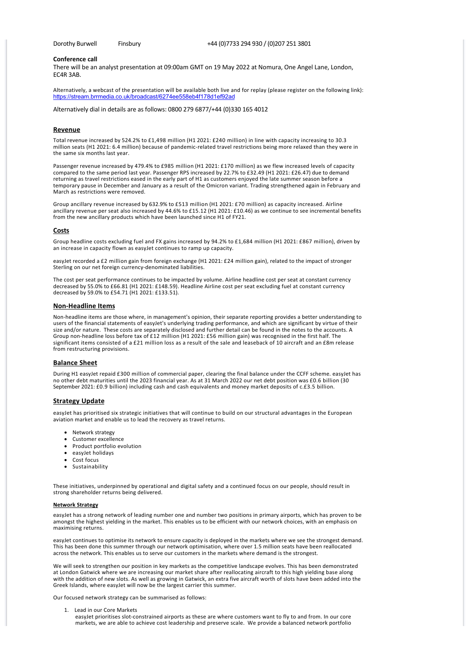#### **Conference call**

There will be an analyst presentation at 09:00am GMT on 19 May 2022 at Nomura, One Angel Lane, London, EC4R 3AB.

Alternatively, a webcast of the presentation will be available both live and for replay (please register on the following link): <https://stream.brrmedia.co.uk/broadcast/6274ee558eb4f178d1ef92ad>

Alternatively dial in details are as follows: 0800 279 6877/+44 (0)330 165 4012

#### **Revenue**

Total revenue increased by 524.2% to £1,498 million (H1 2021: £240 million) in line with capacity increasing to 30.3 million seats (H1 2021: 6.4 million) because of pandemic‐related travel restrictions being more relaxed than they were in the same six months last year.

Passenger revenue increased by 479.4% to £985 million (H1 2021: £170 million) as we flew increased levels of capacity compared to the same period last year. Passenger RPS increased by 22.7% to £32.49 (H1 2021: £26.47) due to demand returning as travel restrictions eased in the early part of H1 as customers enjoyed the late summer season before a temporary pause in December and January as a result of the Omicron variant. Trading strengthened again in February and March as restrictions were removed.

Group ancillary revenue increased by 632.9% to £513 million (H1 2021: £70 million) as capacity increased. Airline ancillary revenue per seat also increased by 44.6% to £15.12 (H1 2021: £10.46) as we continue to see incremental benefits from the new ancillary products which have been launched since H1 of FY21.

#### **Costs**

Group headline costs excluding fuel and FX gains increased by 94.2% to £1,684 million (H1 2021: £867 million), driven by an increase in capacity flown as easyJet continues to ramp up capacity.

easyJet recorded a £2 million gain from foreign exchange (H1 2021: £24 million gain), related to the impact of stronger Sterling on our net foreign currency‐denominated liabilities.

The cost per seat performance continues to be impacted by volume. Airline headline cost per seat at constant currency decreased by 55.0% to £66.81 (H1 2021: £148.59). Headline Airline cost per seat excluding fuel at constant currency decreased by 59.0% to £54.71 (H1 2021: £133.51).

### **Non‐Headline Items**

Non‐headline items are those where, in management's opinion, their separate reporting provides a better understanding to users of the financial statements of easyJet's underlying trading performance, and which are significant by virtue of their size and/or nature. These costs are separately disclosed and further detail can be found in the notes to the accounts. A Group non-headline loss before tax of £12 million (H1 2021: £56 million gain) was recognised in the first half. The significant items consisted of a £21 million loss as a result of the sale and leaseback of 10 aircraft and an £8m release from restructuring provisions.

# **Balance Sheet**

During H1 easyJet repaid £300 million of commercial paper, clearing the final balance under the CCFF scheme. easyJet has no other debt maturities until the 2023 financial year. As at 31 March 2022 our net debt position was £0.6 billion (30 September 2021: £0.9 billion) including cash and cash equivalents and money market deposits of c.£3.5 billion.

#### **Strategy Update**

easyJet has prioritised six strategic initiatives that will continue to build on our structural advantages in the European aviation market and enable us to lead the recovery as travel returns.

- · Network strategy
- · Customer excellence
- · Product portfolio evolution
- · easyJet holidays
- · Cost focus
- · Sustainability

These initiatives, underpinned by operational and digital safety and a continued focus on our people, should result in strong shareholder returns being delivered.

#### **Network Strategy**

easyJet has a strong network of leading number one and number two positions in primary airports, which has proven to be amongst the highest yielding in the market. This enables us to be efficient with our network choices, with an emphasis on maximising returns.

easyJet continues to optimise its network to ensure capacity is deployed in the markets where we see the strongest demand. This has been done this summer through our network optimisation, where over 1.5 million seats have been reallocated across the network. This enables us to serve our customers in the markets where demand is the strongest.

We will seek to strengthen our position in key markets as the competitive landscape evolves. This has been demonstrated at London Gatwick where we are increasing our market share after reallocating aircraft to this high yielding base along with the addition of new slots. As well as growing in Gatwick, an extra five aircraft worth of slots have been added into the Greek Islands, where easyJet will now be the largest carrier this summer.

Our focused network strategy can be summarised as follows:

1. Lead in our Core Markets

easyJet prioritises slot-constrained airports as these are where customers want to fly to and from. In our core markets, we are able to achieve cost leadership and preserve scale. We provide a balanced network portfolio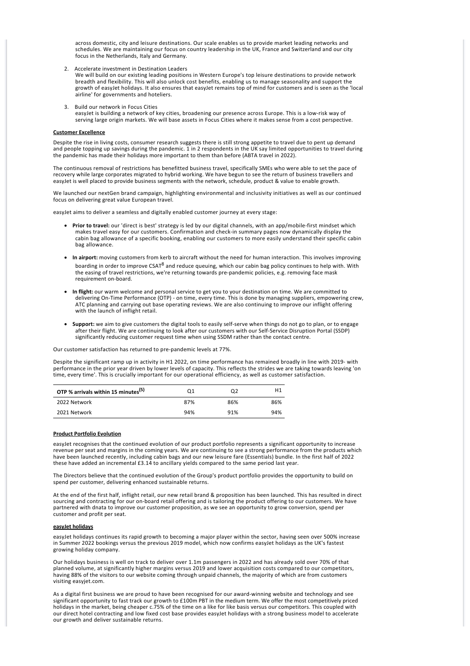across domestic, city and leisure destinations. Our scale enables us to provide market leading networks and schedules. We are maintaining our focus on country leadership in the UK, France and Switzerland and our city focus in the Netherlands, Italy and Germany.

2. Accelerate investment in Destination Leaders

We will build on our existing leading positions in Western Europe's top leisure destinations to provide network breadth and flexibility. This will also unlock cost benefits, enabling us to manage seasonality and support the growth of easyJet holidays. It also ensures that easyJet remains top of mind for customers and is seen as the 'local airline' for governments and hoteliers.

3. Build our network in Focus Cities easyJet is building a network of key cities, broadening our presence across Europe. This is a low‐risk way of serving large origin markets. We will base assets in Focus Cities where it makes sense from a cost perspective.

#### **Customer Excellence**

Despite the rise in living costs, consumer research suggests there is still strong appetite to travel due to pent up demand and people topping up savings during the pandemic. 1 in 2 respondents in the UK say limited opportunities to travel during the pandemic has made their holidays more important to them than before (ABTA travel in 2022).

The continuous removal of restrictions has benefitted business travel, specifically SMEs who were able to set the pace of recovery while large corporates migrated to hybrid working. We have begun to see the return of business travellers and easyJet is well placed to provide business segments with the network, schedule, product & value to enable growth.

We launched our nextGen brand campaign, highlighting environmental and inclusivity initiatives as well as our continued focus on delivering great value European travel.

easyJet aims to deliver a seamless and digitally enabled customer journey at every stage:

- · **Prior to travel:** our 'direct is best' strategy is led by our digital channels, with an app/mobile‐first mindset which makes travel easy for our customers. Confirmation and check‐in summary pages now dynamically display the cabin bag allowance of a specific booking, enabling our customers to more easily understand their specific cabin bag allowance.
- · **In airport:** moving customers from kerb to aircraft without the need for human interaction. This involves improving boarding in order to improve CSAT<sup>8</sup> and reduce queuing, which our cabin bag policy continues to help with. With the easing of travel restrictions, we're returning towards pre‐pandemic policies, e.g. removing face mask requirement on‐board.
- · **In flight:** our warm welcome and personal service to get you to your destination on time. We are committed to delivering On‐Time Performance (OTP) ‐ on time, every time. This is done by managing suppliers, empowering crew, ATC planning and carrying out base operating reviews. We are also continuing to improve our inflight offering with the launch of inflight retail.
- · **Support:** we aim to give customers the digital tools to easily self‐serve when things do not go to plan, or to engage after their flight. We are continuing to look after our customers with our Self‐Service Disruption Portal (SSDP) significantly reducing customer request time when using SSDM rather than the contact centre.

Our customer satisfaction has returned to pre‐pandemic levels at 77%.

Despite the significant ramp up in activity in H1 2022, on time performance has remained broadly in line with 2019- with performance in the prior year driven by lower levels of capacity. This reflects the strides we are taking towards leaving 'on time, every time'. This is crucially important for our operational efficiency, as well as customer satisfaction.

| OTP % arrivals within 15 minutes <sup>(5)</sup> | Ο1  | 02  | Η1  |
|-------------------------------------------------|-----|-----|-----|
| 2022 Network                                    | 87% | 86% | 86% |
| 2021 Network                                    | 94% | 91% | 94% |

#### **Product Portfolio Evolution**

easyJet recognises that the continued evolution of our product portfolio represents a significant opportunity to increase revenue per seat and margins in the coming years. We are continuing to see a strong performance from the products which have been launched recently, including cabin bags and our new leisure fare (Essentials) bundle. In the first half of 2022 these have added an incremental £3.14 to ancillary yields compared to the same period last year.

The Directors believe that the continued evolution of the Group's product portfolio provides the opportunity to build on spend per customer, delivering enhanced sustainable returns.

At the end of the first half, inflight retail, our new retail brand & proposition has been launched. This has resulted in direct sourcing and contracting for our on‐board retail offering and is tailoring the product offering to our customers. We have partnered with dnata to improve our customer proposition, as we see an opportunity to grow conversion, spend per customer and profit per seat.

#### **easyJet holidays**

easyJet holidays continues its rapid growth to becoming a major player within the sector, having seen over 500% increase in Summer 2022 bookings versus the previous 2019 model, which now confirms easyJet holidays as the UK's fastest growing holiday company.

Our holidays business is well on track to deliver over 1.1m passengers in 2022 and has already sold over 70% of that planned volume, at significantly higher margins versus 2019 and lower acquisition costs compared to our competitors, having 88% of the visitors to our website coming through unpaid channels, the majority of which are from customers visiting easyjet.com.

As a digital first business we are proud to have been recognised for our award‐winning website and technology and see significant opportunity to fast track our growth to £100m PBT in the medium term. We offer the most competitively priced holidays in the market, being cheaper c.75% of the time on a like for like basis versus our competitors. This coupled with our direct hotel contracting and low fixed cost base provides easyJet holidays with a strong business model to accelerate our growth and deliver sustainable returns.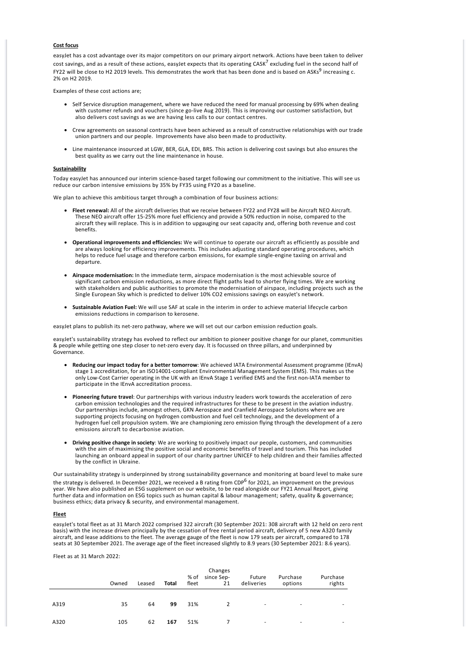#### **Cost focus**

easyJet has a cost advantage over its major competitors on our primary airport network. Actions have been taken to deliver cost savings, and as a result of these actions, easyJet expects that its operating CASK<sup>7</sup> excluding fuel in the second half of FY22 will be close to H2 2019 levels. This demonstrates the work that has been done and is based on ASKs<sup>9</sup> increasing c. 2% on H2 2019.

Examples of these cost actions are;

- · Self Service disruption management, where we have reduced the need for manual processing by 69% when dealing with customer refunds and vouchers (since go-live Aug 2019). This is improving our customer satisfaction, but also delivers cost savings as we are having less calls to our contact centres.
- · Crew agreements on seasonal contracts have been achieved as a result of constructive relationships with our trade union partners and our people. Improvements have also been made to productivity.
- · Line maintenance insourced at LGW, BER, GLA, EDI, BRS. This action is delivering cost savings but also ensures the best quality as we carry out the line maintenance in house.

### **Sustainability**

Today easyJet has announced our interim science‐based target following our commitment to the initiative. This will see us reduce our carbon intensive emissions by 35% by FY35 using FY20 as a baseline.

We plan to achieve this ambitious target through a combination of four business actions:

- · **Fleet renewal:** All of the aircraft deliveries that we receive between FY22 and FY28 will be Aircraft NEO Aircraft. These NEO aircraft offer 15‐25% more fuel efficiency and provide a 50% reduction in noise, compared to the aircraft they will replace. This is in addition to upgauging our seat capacity and, offering both revenue and cost benefits.
- · **Operational improvements and efficiencies:** We will continue to operate our aircraft as efficiently as possible and are always looking for efficiency improvements. This includes adjusting standard operating procedures, which helps to reduce fuel usage and therefore carbon emissions, for example single‐engine taxiing on arrival and departure.
- · **Airspace modernisation:** In the immediate term, airspace modernisation is the most achievable source of significant carbon emission reductions, as more direct flight paths lead to shorter flying times. We are working with stakeholders and public authorities to promote the modernisation of airspace, including projects such as the Single European Sky which is predicted to deliver 10% CO2 emissions savings on easyJet's network.
- · **Sustainable Aviation Fuel:** We will use SAF at scale in the interim in order to achieve material lifecycle carbon emissions reductions in comparison to kerosene.

easyJet plans to publish its net-zero pathway, where we will set out our carbon emission reduction goals.

easyJet's sustainability strategy has evolved to reflect our ambition to pioneer positive change for our planet, communities & people while getting one step closer to net‐zero every day. It is focussed on three pillars, and underpinned by Governance.

- · **Reducing our impact today for a better tomorrow**: We achieved IATA Environmental Assessment programme (IEnvA) stage 1 accreditation, for an ISO14001‐compliant Environmental Management System (EMS). This makes us the only Low‐Cost Carrier operating in the UK with an IEnvA Stage 1 verified EMS and the first non‐IATA member to participate in the IEnvA accreditation process.
- · **Pioneering future travel**: Our partnerships with various industry leaders work towards the acceleration of zero carbon emission technologies and the required infrastructures for these to be present in the aviation industry. Our partnerships include, amongst others, GKN Aerospace and Cranfield Aerospace Solutions where we are supporting projects focusing on hydrogen combustion and fuel cell technology, and the development of a hydrogen fuel cell propulsion system. We are championing zero emission flying through the development of a zero emissions aircraft to decarbonise aviation.
- · **Driving positive change in society**: We are working to positively impact our people, customers, and communities with the aim of maximising the positive social and economic benefits of travel and tourism. This has included launching an onboard appeal in support of our charity partner UNICEF to help children and their families affected by the conflict in Ukraine.

Our sustainability strategy is underpinned by strong sustainability governance and monitoring at board level to make sure the strategy is delivered. In December 2021, we received a B rating from CDP<sup>6</sup> for 2021, an improvement on the previous year. We have also published an ESG supplement on our website, to be read alongside our FY21 Annual Report, giving further data and information on ESG topics such as human capital & labour management; safety, quality & governance; business ethics; data privacy & security, and environmental management.

#### **Fleet**

easyJet's total fleet as at 31 March 2022 comprised 322 aircraft (30 September 2021: 308 aircraft with 12 held on zero rent basis) with the increase driven principally by the cessation of free rental period aircraft, delivery of 5 new A320 family aircraft, and lease additions to the fleet. The average gauge of the fleet is now 179 seats per aircraft, compared to 178 seats at 30 September 2021. The average age of the fleet increased slightly to 8.9 years (30 September 2021: 8.6 years).

Fleet as at 31 March 2022:

|      | Owned | Leased | Total | % of<br>fleet | Changes<br>since Sep-<br>21 | Future<br>deliveries | Purchase<br>options | Purchase<br>rights       |
|------|-------|--------|-------|---------------|-----------------------------|----------------------|---------------------|--------------------------|
| A319 | 35    | 64     | 99    | 31%           |                             | ٠                    | ۰                   |                          |
| A320 | 105   | 62     | 167   | 51%           |                             | ٠                    | ۰                   | $\overline{\phantom{a}}$ |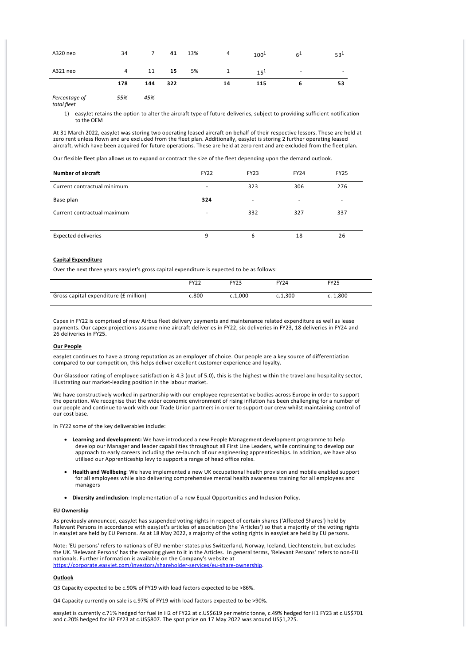| A320 neo      | 34             | $\overline{7}$ | 41  | 13% | 4  | $100^{1}$ | 6 <sup>1</sup> | $53^{1}$ |
|---------------|----------------|----------------|-----|-----|----|-----------|----------------|----------|
| A321 neo      | $\overline{4}$ | 11             | 15  | 5%  | 1  | $15^{1}$  | ٠              |          |
|               | 178            | 144            | 322 |     | 14 | 115       | 6              | 53       |
| Percentage of | 55%            | 45%            |     |     |    |           |                |          |

*total fleet*

1) easyJet retains the option to alter the aircraft type of future deliveries, subject to providing sufficient notification to the OEM

At 31 March 2022, easyJet was storing two operating leased aircraft on behalf of their respective lessors. These are held at zero rent unless flown and are excluded from the fleet plan. Additionally, easyJet is storing 2 further operating leased aircraft, which have been acquired for future operations. These are held at zero rent and are excluded from the fleet plan.

Our flexible fleet plan allows us to expand or contract the size of the fleet depending upon the demand outlook.

| <b>Number of aircraft</b>   | <b>FY22</b> | <b>FY23</b>              | <b>FY24</b>              | <b>FY25</b>              |
|-----------------------------|-------------|--------------------------|--------------------------|--------------------------|
| Current contractual minimum | -           | 323                      | 306                      | 276                      |
| Base plan                   | 324         | $\overline{\phantom{a}}$ | $\overline{\phantom{a}}$ | $\overline{\phantom{a}}$ |
| Current contractual maximum | ۰           | 332                      | 327                      | 337                      |
| <b>Expected deliveries</b>  | 9           | 6                        | 18                       | 26                       |

### **Capital Expenditure**

Over the next three years easyJet's gross capital expenditure is expected to be as follows:

|                                       | <b>FY22</b> | <b>FY23</b> | <b>FY24</b> | <b>FY25</b> |
|---------------------------------------|-------------|-------------|-------------|-------------|
|                                       |             |             |             |             |
| Gross capital expenditure (£ million) | c.800       | c.1.000     | c.1.300     | c. 1,800    |
|                                       |             |             |             |             |

Capex in FY22 is comprised of new Airbus fleet delivery payments and maintenance related expenditure as well as lease payments. Our capex projections assume nine aircraft deliveries in FY22, six deliveries in FY23, 18 deliveries in FY24 and 26 deliveries in FY25.

#### **Our People**

easyJet continues to have a strong reputation as an employer of choice. Our people are a key source of differentiation compared to our competition, this helps deliver excellent customer experience and loyalty.

Our Glassdoor rating of employee satisfaction is 4.3 (out of 5.0), this is the highest within the travel and hospitality sector, illustrating our market‐leading position in the labour market.

We have constructively worked in partnership with our employee representative bodies across Europe in order to support the operation. We recognise that the wider economic environment of rising inflation has been challenging for a number of our people and continue to work with our Trade Union partners in order to support our crew whilst maintaining control of our cost base.

In FY22 some of the key deliverables include:

- · **Learning and development:** We have introduced a new People Management development programme to help develop our Manager and leader capabilities throughout all First Line Leaders, while continuing to develop our approach to early careers including the re‐launch of our engineering apprenticeships. In addition, we have also utilised our Apprenticeship levy to support a range of head office roles.
- · **Health and Wellbeing**: We have implemented a new UK occupational health provision and mobile enabled support for all employees while also delivering comprehensive mental health awareness training for all employees and managers
- · **Diversity and inclusion**: Implementation of a new Equal Opportunities and Inclusion Policy.

#### **EU Ownership**

As previously announced, easyJet has suspended voting rights in respect of certain shares ('Affected Shares') held by Relevant Persons in accordance with easyJet's articles of association (the 'Articles') so that a majority of the voting rights in easyJet are held by EU Persons. As at 18 May 2022, a majority of the voting rights in easyJet are held by EU persons.

Note: 'EU persons' refers to nationals of EU member states plus Switzerland, Norway, Iceland, Liechtenstein, but excludes the UK. 'Relevant Persons' has the meaning given to it in the Articles. In general terms, 'Relevant Persons' refers to non‐EU nationals. Further information is available on the Company's website at https://corporate.easyjet.com/investors/shareholder-services/eu-share-ownership.

#### **Outlook**

Q3 Capacity expected to be c.90% of FY19 with load factors expected to be >86%.

Q4 Capacity currently on sale is c.97% of FY19 with load factors expected to be >90%.

easyJet is currently c.71% hedged for fuel in H2 of FY22 at c.US\$619 per metric tonne, c.49% hedged for H1 FY23 at c.US\$701 and c.20% hedged for H2 FY23 at c.US\$807. The spot price on 17 May 2022 was around US\$1,225.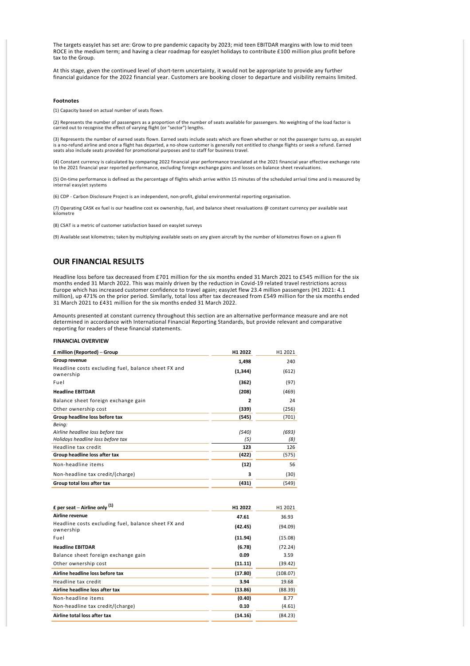The targets easyJet has set are: Grow to pre pandemic capacity by 2023; mid teen EBITDAR margins with low to mid teen ROCE in the medium term; and having a clear roadmap for easyJet holidays to contribute £100 million plus profit before tax to the Group.

At this stage, given the continued level of short-term uncertainty, it would not be appropriate to provide any further financial guidance for the 2022 financial year. Customers are booking closer to departure and visibility remains limited.

#### **Footnotes**

(1) Capacity based on actual number of seats flown.

(2) Represents the number of passengers as a proportion of the number of seats available for passengers. No weighting of the load factor is carried out to recognise the effect of varying flight (or "sector") lengths.

(3) Represents the number of earned seats flown. Earned seats include seats which are flown whether or not the passenger turns up, as easyJet<br>is a no-refund airline and once a flight has departed, a no-show customer is gen seats also include seats provided for promotional purposes and to staff for business travel.

(4) Constant currency is calculated by comparing 2022 financial year performance translated at the 2021 financial year effective exchange rate to the 2021 financial year reported performance, excluding foreign exchange gains and losses on balance sheet revaluations.

(5) On‐time performance is defined as the percentage of flights which arrive within 15 minutes of the scheduled arrival time and is measured by internal easyJet systems

(6) CDP ‐ Carbon Disclosure Project is an independent, non‐profit, global environmental reporting organisation.

(7) Operating CASK ex fuel is our headline cost ex ownership, fuel, and balance sheet revaluations @ constant currency per available seat kilometre

(8) CSAT is a metric of customer satisfaction based on easyJet surveys

(9) Available seat kilometres; taken by multiplying available seats on any given aircraft by the number of kilometres flown on a given fli

# **OUR FINANCIAL RESULTS**

Headline loss before tax decreased from £701 million for the six months ended 31 March 2021 to £545 million for the six months ended 31 March 2022. This was mainly driven by the reduction in Covid‐19 related travel restrictions across Europe which has increased customer confidence to travel again; easyJet flew 23.4 million passengers (H1 2021: 4.1 million), up 471% on the prior period. Similarly, total loss after tax decreased from £549 million for the six months ended 31 March 2021 to £431 million for the six months ended 31 March 2022.

Amounts presented at constant currency throughout this section are an alternative performance measure and are not determined in accordance with International Financial Reporting Standards, but provide relevant and comparative reporting for readers of these financial statements.

#### **FINANCIAL OVERVIEW**

| £ million (Reported) – Group                                     | H <sub>1</sub> 2022 | H1 2021 |
|------------------------------------------------------------------|---------------------|---------|
| Group revenue                                                    | 1,498               | 240     |
| Headline costs excluding fuel, balance sheet FX and<br>ownership | (1, 344)            | (612)   |
| Fuel                                                             | (362)               | (97)    |
| <b>Headline EBITDAR</b>                                          | (208)               | (469)   |
| Balance sheet foreign exchange gain                              | 2                   | 24      |
| Other ownership cost                                             | (339)               | (256)   |
| Group headline loss before tax                                   | (545)               | (701)   |
| Being:                                                           |                     |         |
| Airline headline loss before tax                                 | (540)               | (693)   |
| Holidays headline loss before tax                                | (5)                 | (8)     |
| Headline tax credit                                              | 123                 | 126     |
| Group headline loss after tax                                    | (422)               | (575)   |
| Non-headline items                                               | (12)                | 56      |
| Non-headline tax credit/(charge)                                 | з                   | (30)    |
| Group total loss after tax                                       | (431)               | (549)   |

| £ per seat – Airline only $(1)$                                  | H1 2022 | H <sub>1</sub> 2021 |
|------------------------------------------------------------------|---------|---------------------|
| Airline revenue                                                  | 47.61   | 36.93               |
| Headline costs excluding fuel, balance sheet FX and<br>ownership | (42.45) | (94.09)             |
| Fuel                                                             | (11.94) | (15.08)             |
| <b>Headline EBITDAR</b>                                          | (6.78)  | (72.24)             |
| Balance sheet foreign exchange gain                              | 0.09    | 3.59                |
| Other ownership cost                                             | (11.11) | (39.42)             |
| Airline headline loss before tax                                 | (17.80) | (108.07)            |
| Headline tax credit                                              | 3.94    | 19.68               |
| Airline headline loss after tax                                  | (13.86) | (88.39)             |
| Non-headline items                                               | (0.40)  | 8.77                |
| Non-headline tax credit/(charge)                                 | 0.10    | (4.61)              |
| Airline total loss after tax                                     | (14.16) | (84.23)             |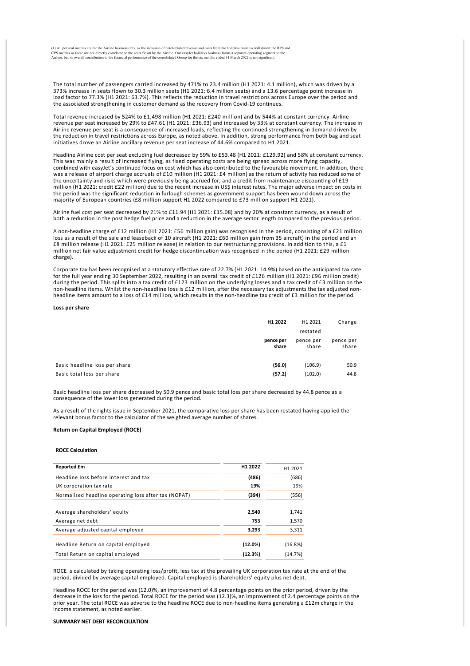(1) All per seat metrics are for the Airline business only, as the inclusion of hotel-related revenue and costs from the holidays business will distort the RPS and<br>CPS metrics as these are not directly correlated to the se

The total number of passengers carried increased by 471% to 23.4 million (H1 2021: 4.1 million), which was driven by a 373% increase in seats flown to 30.3 million seats (H1 2021: 6.4 million seats) and a 13.6 percentage point increase in load factor to 77.3% (H1 2021: 63.7%). This reflects the reduction in travel restrictions across Europe over the period and the associated strengthening in customer demand as the recovery from Covid‐19 continues.

Total revenue increased by 524% to £1,498 million (H1 2021: £240 million) and by 544% at constant currency. Airline revenue per seat increased by 29% to £47.61 (H1 2021: £36.93) and increased by 33% at constant currency. The increase in Airline revenue per seat is a consequence of increased loads, reflecting the continued strengthening in demand driven by the reduction in travel restrictions across Europe, as noted above. In addition, strong performance from both bag and seat initiatives drove an Airline ancillary revenue per seat increase of 44.6% compared to H1 2021.

Headline Airline cost per seat excluding fuel decreased by 59% to £53.48 (H1 2021: £129.92) and 58% at constant currency. This was mainly a result of increased flying, as fixed operating costs are being spread across more flying capacity, combined with easyJet's continued focus on cost which has also contributed to the favourable movement. In addition, there was a release of airport charge accruals of £10 million (H1 2021: £4 million) as the return of activity has reduced some of the uncertainty and risks which were previously being accrued for, and a credit from maintenance discounting of £19 million (H1 2021: credit £22 million) due to the recent increase in US\$ interest rates. The major adverse impact on costs in the period was the significant reduction in furlough schemes as government support has been wound down across the majority of European countries (£8 million support H1 2022 compared to £73 million support H1 2021).

Airline fuel cost per seat decreased by 21% to £11.94 (H1 2021: £15.08) and by 20% at constant currency, as a result of both a reduction in the post hedge fuel price and a reduction in the average sector length compared to the previous period.

A non‐headline charge of £12 million (H1 2021: £56 million gain) was recognised in the period, consisting of a £21 million loss as a result of the sale and leaseback of 10 aircraft (H1 2021: £60 million gain from 35 aircraft) in the period and an £8 million release (H1 2021: £25 million release) in relation to our restructuring provisions. In addition to this, a £1 million net fair value adjustment credit for hedge discontinuation was recognised in the period (H1 2021: £29 million charge).

Corporate tax has been recognised at a statutory effective rate of 22.7% (H1 2021: 14.9%) based on the anticipated tax rate for the full year ending 30 September 2022, resulting in an overall tax credit of £126 million (H1 2021: £96 million credit) during the period. This splits into a tax credit of £123 million on the underlying losses and a tax credit of £3 million on the non-headline items. Whilst the non-headline loss is £12 million, after the necessary tax adjustments the tax adjusted nonheadline items amount to a loss of £14 million, which results in the non-headline tax credit of £3 million for the period.

#### **Loss per share**

|                               | H1 2022            | H1 2021            | Change             |
|-------------------------------|--------------------|--------------------|--------------------|
|                               |                    | restated           |                    |
|                               | pence per<br>share | pence per<br>share | pence per<br>share |
| Basic headline loss per share | (56.0)             | (106.9)            | 50.9               |
| Basic total loss per share    | (57.2)             | (102.0)            | 44.8               |

Basic headline loss per share decreased by 50.9 pence and basic total loss per share decreased by 44.8 pence as a consequence of the lower loss generated during the period.

As a result of the rights issue in September 2021, the comparative loss per share has been restated having applied the relevant bonus factor to the calculator of the weighted average number of shares.

# **Return on Capital Employed (ROCE)**

#### **ROCE Calculation**

| <b>Reported £m</b>                                   | H <sub>1</sub> 2022 | H <sub>1</sub> 2021 |
|------------------------------------------------------|---------------------|---------------------|
| Headline loss before interest and tax                | (486)               | (686)               |
| UK corporation tax rate                              | 19%                 | 19%                 |
| Normalised headline operating loss after tax (NOPAT) | (394)               | (556)               |
|                                                      |                     |                     |
| Average shareholders' equity                         | 2,540               | 1,741               |
| Average net debt                                     | 753                 | 1,570               |
| Average adjusted capital employed                    | 3,293               | 3,311               |
|                                                      |                     |                     |
| Headline Return on capital employed                  | (12.0%)             | (16.8%)             |
| Total Return on capital employed                     | (12.3%)             | (14.7%)             |

ROCE is calculated by taking operating loss/profit, less tax at the prevailing UK corporation tax rate at the end of the period, divided by average capital employed. Capital employed is shareholders' equity plus net debt.

Headline ROCE for the period was (12.0)%, an improvement of 4.8 percentage points on the prior period, driven by the decrease in the loss for the period. Total ROCE for the period was (12.3)%, an improvement of 2.4 percentage points on the prior year. The total ROCE was adverse to the headline ROCE due to non-headline items generating a £12m charge in the income statement, as noted earlier.

#### **SUMMARY NET DEBT RECONCILIATION**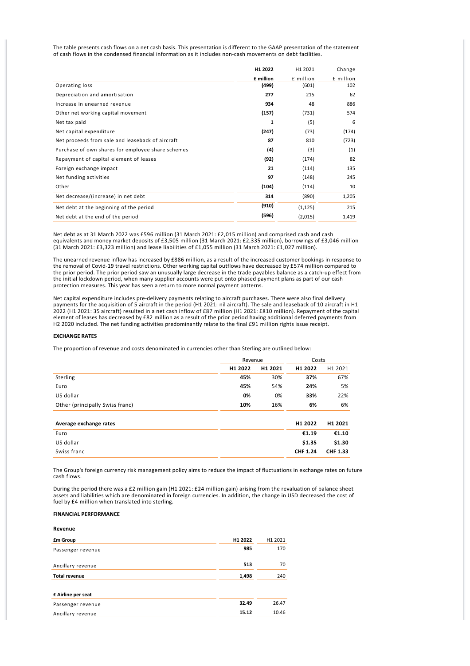The table presents cash flows on a net cash basis. This presentation is different to the GAAP presentation of the statement of cash flows in the condensed financial information as it includes non‐cash movements on debt facilities.

|                                                   | H1 2022   | H1 2021   | Change    |
|---------------------------------------------------|-----------|-----------|-----------|
|                                                   | £ million | £ million | £ million |
| Operating loss                                    | (499)     | (601)     | 102       |
| Depreciation and amortisation                     | 277       | 215       | 62        |
| Increase in unearned revenue                      | 934       | 48        | 886       |
| Other net working capital movement                | (157)     | (731)     | 574       |
| Net tax paid                                      | 1         | (5)       | 6         |
| Net capital expenditure                           | (247)     | (73)      | (174)     |
| Net proceeds from sale and leaseback of aircraft  | 87        | 810       | (723)     |
| Purchase of own shares for employee share schemes | (4)       | (3)       | (1)       |
| Repayment of capital element of leases            | (92)      | (174)     | 82        |
| Foreign exchange impact                           | 21        | (114)     | 135       |
| Net funding activities                            | 97        | (148)     | 245       |
| Other                                             | (104)     | (114)     | 10        |
| Net decrease/(increase) in net debt               | 314       | (890)     | 1,205     |
| Net debt at the beginning of the period           | (910)     | (1, 125)  | 215       |
| Net debt at the end of the period                 | (596)     | (2,015)   | 1,419     |

Net debt as at 31 March 2022 was £596 million (31 March 2021: £2,015 million) and comprised cash and cash equivalents and money market deposits of £3,505 million (31 March 2021: £2,335 million), borrowings of £3,046 million (31 March 2021: £3,323 million) and lease liabilities of £1,055 million (31 March 2021: £1,027 million).

The unearned revenue inflow has increased by £886 million, as a result of the increased customer bookings in response to the removal of Covid-19 travel restrictions. Other working capital outflows have decreased by £574 million compared to the prior period. The prior period saw an unusually large decrease in the trade payables balance as a catch-up effect from the initial lockdown period, when many supplier accounts were put onto phased payment plans as part of our cash protection measures. This year has seen a return to more normal payment patterns.

Net capital expenditure includes pre‐delivery payments relating to aircraft purchases. There were also final delivery payments for the acquisition of 5 aircraft in the period (H1 2021: nil aircraft). The sale and leaseback of 10 aircraft in H1 2022 (H1 2021: 35 aircraft) resulted in a net cash inflow of £87 million (H1 2021: £810 million). Repayment of the capital element of leases has decreased by £82 million as a result of the prior period having additional deferred payments from H2 2020 included. The net funding activities predominantly relate to the final £91 million rights issue receipt.

### **EXCHANGE RATES**

The proportion of revenue and costs denominated in currencies other than Sterling are outlined below:

|                                 |         | Revenue |         | Costs   |
|---------------------------------|---------|---------|---------|---------|
|                                 | H1 2022 | H1 2021 | H1 2022 | H1 2021 |
| Sterling                        | 45%     | 30%     | 37%     | 67%     |
| Euro                            | 45%     | 54%     | 24%     | 5%      |
| US dollar                       | 0%      | 0%      | 33%     | 22%     |
| Other (principally Swiss franc) | 10%     | 16%     | 6%      | 6%      |
|                                 |         |         |         |         |

| Average exchange rates | H <sub>1</sub> 2022 | H <sub>1</sub> 2021 |
|------------------------|---------------------|---------------------|
| Euro                   | €1.19               | €1.10               |
| US dollar              | \$1.35              | \$1.30              |
| Swiss franc            | <b>CHF 1.24</b>     | <b>CHF 1.33</b>     |

The Group's foreign currency risk management policy aims to reduce the impact of fluctuations in exchange rates on future cash flows.

During the period there was a £2 million gain (H1 2021: £24 million gain) arising from the revaluation of balance sheet assets and liabilities which are denominated in foreign currencies. In addition, the change in USD decreased the cost of fuel by £4 million when translated into sterling.

# **FINANCIAL PERFORMANCE**

| Revenue              |         |         |
|----------------------|---------|---------|
| <b>£m Group</b>      | H1 2022 | H1 2021 |
| Passenger revenue    | 985     | 170     |
|                      |         |         |
| Ancillary revenue    | 513     | 70      |
| <b>Total revenue</b> | 1,498   | 240     |
|                      |         |         |
| £ Airline per seat   |         |         |
| Passenger revenue    | 32.49   | 26.47   |
| Ancillary revenue    | 15.12   | 10.46   |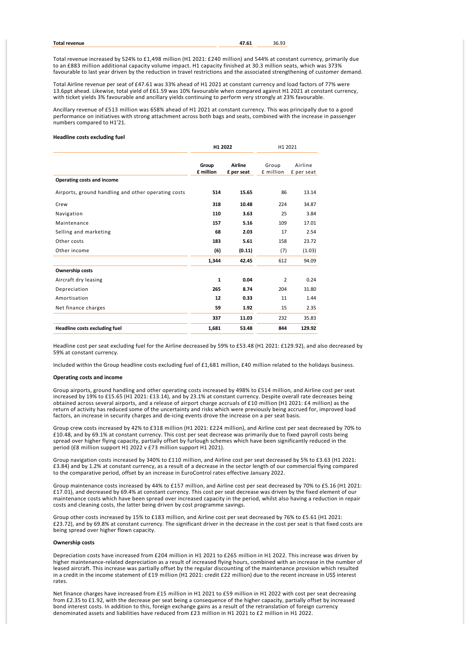Total revenue increased by 524% to £1,498 million (H1 2021: £240 million) and 544% at constant currency, primarily due to an £883 million additional capacity volume impact. H1 capacity finished at 30.3 million seats, which was 373% favourable to last year driven by the reduction in travel restrictions and the associated strengthening of customer demand.

Total Airline revenue per seat of £47.61 was 33% ahead of H1 2021 at constant currency and load factors of 77% were 13.6ppt ahead. Likewise, total yield of £61.59 was 10% favourable when compared against H1 2021 at constant currency, with ticket yields 3% favourable and ancillary yields continuing to perform very strongly at 23% favourable.

Ancillary revenue of £513 million was 658% ahead of H1 2021 at constant currency. This was principally due to a good performance on initiatives with strong attachment across both bags and seats, combined with the increase in passenger numbers compared to H1'21.

# **Headline costs excluding fuel**

|                                                     | H1 2022            |                              | H1 2021            |                       |  |
|-----------------------------------------------------|--------------------|------------------------------|--------------------|-----------------------|--|
|                                                     | Group<br>£ million | <b>Airline</b><br>£ per seat | Group<br>£ million | Airline<br>£ per seat |  |
| Operating costs and income                          |                    |                              |                    |                       |  |
| Airports, ground handling and other operating costs | 514                | 15.65                        | 86                 | 13.14                 |  |
| Crew                                                | 318                | 10.48                        | 224                | 34.87                 |  |
| Navigation                                          | 110                | 3.63                         | 25                 | 3.84                  |  |
| Maintenance                                         | 157                | 5.16                         | 109                | 17.01                 |  |
| Selling and marketing                               | 68                 | 2.03                         | 17                 | 2.54                  |  |
| Other costs                                         | 183                | 5.61                         | 158                | 23.72                 |  |
| Other income                                        | (6)                | (0.11)                       | (7)                | (1.03)                |  |
|                                                     | 1,344              | 42.45                        | 612                | 94.09                 |  |
| <b>Ownership costs</b>                              |                    |                              |                    |                       |  |
| Aircraft dry leasing                                | $\mathbf{1}$       | 0.04                         | $\overline{2}$     | 0.24                  |  |
| Depreciation                                        | 265                | 8.74                         | 204                | 31.80                 |  |
| Amortisation                                        | 12                 | 0.33                         | 11                 | 1.44                  |  |
| Net finance charges                                 | 59                 | 1.92                         | 15                 | 2.35                  |  |
|                                                     | 337                | 11.03                        | 232                | 35.83                 |  |
| Headline costs excluding fuel                       | 1,681              | 53.48                        | 844                | 129.92                |  |

Headline cost per seat excluding fuel for the Airline decreased by 59% to £53.48 (H1 2021: £129.92), and also decreased by 59% at constant currency.

Included within the Group headline costs excluding fuel of £1,681 million, £40 million related to the holidays business.

#### **Operating costs and income**

Group airports, ground handling and other operating costs increased by 498% to £514 million, and Airline cost per seat increased by 19% to £15.65 (H1 2021: £13.14), and by 23.1% at constant currency. Despite overall rate decreases being obtained across several airports, and a release of airport charge accruals of £10 million (H1 2021: £4 million) as the return of activity has reduced some of the uncertainty and risks which were previously being accrued for, improved load factors, an increase in security charges and de-icing events drove the increase on a per seat basis.

Group crew costs increased by 42% to £318 million (H1 2021: £224 million), and Airline cost per seat decreased by 70% to £10.48, and by 69.1% at constant currency. This cost per seat decrease was primarily due to fixed payroll costs being spread over higher flying capacity, partially offset by furlough schemes which have been significantly reduced in the period (£8 million support H1 2022 v £73 million support H1 2021).

Group navigation costs increased by 340% to £110 million, and Airline cost per seat decreased by 5% to £3.63 (H1 2021: £3.84) and by 1.2% at constant currency, as a result of a decrease in the sector length of our commercial flying compared to the comparative period, offset by an increase in EuroControl rates effective January 2022.

Group maintenance costs increased by 44% to £157 million, and Airline cost per seat decreased by 70% to £5.16 (H1 2021: £17.01), and decreased by 69.4% at constant currency. This cost per seat decrease was driven by the fixed element of our maintenance costs which have been spread over increased capacity in the period, whilst also having a reduction in repair costs and cleaning costs, the latter being driven by cost programme savings.

Group other costs increased by 15% to £183 million, and Airline cost per seat decreased by 76% to £5.61 (H1 2021: £23.72), and by 69.8% at constant currency. The significant driver in the decrease in the cost per seat is that fixed costs are being spread over higher flown capacity.

#### **Ownership costs**

Depreciation costs have increased from £204 million in H1 2021 to £265 million in H1 2022. This increase was driven by higher maintenance-related depreciation as a result of increased flying hours, combined with an increase in the number of leased aircraft. This increase was partially offset by the regular discounting of the maintenance provision which resulted in a credit in the income statement of £19 million (H1 2021: credit £22 million) due to the recent increase in US\$ interest rates.

Net finance charges have increased from £15 million in H1 2021 to £59 million in H1 2022 with cost per seat decreasing from £2.35 to £1.92, with the decrease per seat being a consequence of the higher capacity, partially offset by increased bond interest costs. In addition to this, foreign exchange gains as a result of the retranslation of foreign currency denominated assets and liabilities have reduced from £23 million in H1 2021 to £2 million in H1 2022.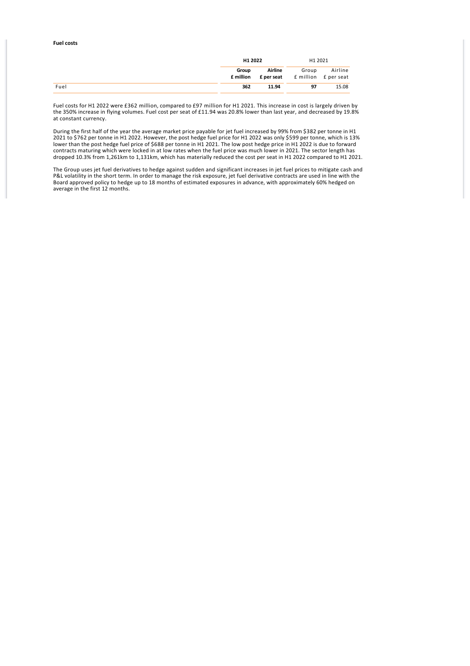### **Fuel costs**

| H1 2022 |         | H1 2021                                                                        |         |
|---------|---------|--------------------------------------------------------------------------------|---------|
| Group   | Airline | Group<br><b>f</b> million <b>f</b> per seat <b>f</b> million <b>f</b> per seat | Airline |
| 362     | 11.94   | 97                                                                             | 15.08   |

Fuel costs for H1 2022 were £362 million, compared to £97 million for H1 2021. This increase in cost is largely driven by the 350% increase in flying volumes. Fuel cost per seat of £11.94 was 20.8% lower than last year, and decreased by 19.8% at constant currency.

During the first half of the year the average market price payable for jet fuel increased by 99% from \$382 per tonne in H1 2021 to \$762 per tonne in H1 2022. However, the post hedge fuel price for H1 2022 was only \$599 per tonne, which is 13% lower than the post hedge fuel price of \$688 per tonne in H1 2021. The low post hedge price in H1 2022 is due to forward contracts maturing which were locked in at low rates when the fuel price was much lower in 2021. The sector length has dropped 10.3% from 1,261km to 1,131km, which has materially reduced the cost per seat in H1 2022 compared to H1 2021.

The Group uses jet fuel derivatives to hedge against sudden and significant increases in jet fuel prices to mitigate cash and P&L volatility in the short term. In order to manage the risk exposure, jet fuel derivative contracts are used in line with the Board approved policy to hedge up to 18 months of estimated exposures in advance, with approximately 60% hedged on average in the first 12 months.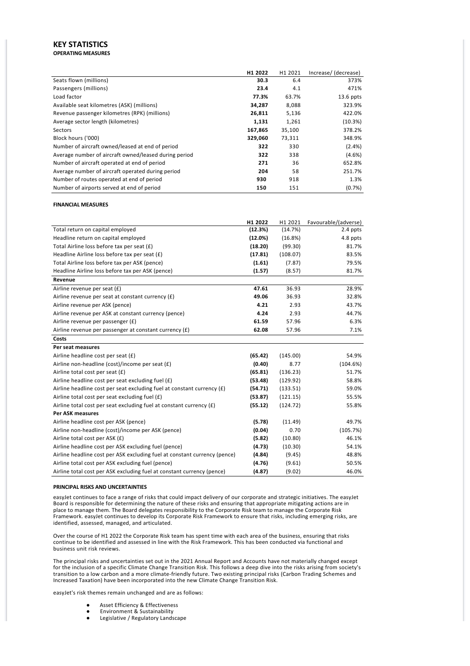# **KEY STATISTICS OPERATING MEASURES**

|                                                       | H <sub>1</sub> 2022 | H1 2021 | Increase/ (decrease) |
|-------------------------------------------------------|---------------------|---------|----------------------|
| Seats flown (millions)                                | 30.3                | 6.4     | 373%                 |
| Passengers (millions)                                 | 23.4                | 4.1     | 471%                 |
| Load factor                                           | 77.3%               | 63.7%   | $13.6$ ppts          |
| Available seat kilometres (ASK) (millions)            | 34,287              | 8,088   | 323.9%               |
| Revenue passenger kilometres (RPK) (millions)         | 26,811              | 5,136   | 422.0%               |
| Average sector length (kilometres)                    | 1,131               | 1,261   | (10.3%)              |
| Sectors                                               | 167,865             | 35,100  | 378.2%               |
| Block hours ('000)                                    | 329,060             | 73,311  | 348.9%               |
| Number of aircraft owned/leased at end of period      | 322                 | 330     | $(2.4\%)$            |
| Average number of aircraft owned/leased during period | 322                 | 338     | (4.6%)               |
| Number of aircraft operated at end of period          | 271                 | 36      | 652.8%               |
| Average number of aircraft operated during period     | 204                 | 58      | 251.7%               |
| Number of routes operated at end of period            | 930                 | 918     | 1.3%                 |
| Number of airports served at end of period            | 150                 | 151     | (0.7%                |

# **FINANCIAL MEASURES**

|                                                                           | H1 2022 | H1 2021  | Favourable/(adverse) |
|---------------------------------------------------------------------------|---------|----------|----------------------|
| Total return on capital employed                                          | (12.3%) | (14.7%)  | 2.4 ppts             |
| Headline return on capital employed                                       | (12.0%) | (16.8%)  | 4.8 ppts             |
| Total Airline loss before tax per seat (£)                                | (18.20) | (99.30)  | 81.7%                |
| Headline Airline loss before tax per seat (£)                             | (17.81) | (108.07) | 83.5%                |
| Total Airline loss before tax per ASK (pence)                             | (1.61)  | (7.87)   | 79.5%                |
| Headline Airline loss before tax per ASK (pence)                          | (1.57)  | (8.57)   | 81.7%                |
| Revenue                                                                   |         |          |                      |
| Airline revenue per seat (£)                                              | 47.61   | 36.93    | 28.9%                |
| Airline revenue per seat at constant currency (£)                         | 49.06   | 36.93    | 32.8%                |
| Airline revenue per ASK (pence)                                           | 4.21    | 2.93     | 43.7%                |
| Airline revenue per ASK at constant currency (pence)                      | 4.24    | 2.93     | 44.7%                |
| Airline revenue per passenger (£)                                         | 61.59   | 57.96    | 6.3%                 |
| Airline revenue per passenger at constant currency (£)                    | 62.08   | 57.96    | 7.1%                 |
| Costs                                                                     |         |          |                      |
| Per seat measures                                                         |         |          |                      |
| Airline headline cost per seat (£)                                        | (65.42) | (145.00) | 54.9%                |
| Airline non-headline (cost)/income per seat (£)                           | (0.40)  | 8.77     | (104.6%)             |
| Airline total cost per seat (£)                                           | (65.81) | (136.23) | 51.7%                |
| Airline headline cost per seat excluding fuel (£)                         | (53.48) | (129.92) | 58.8%                |
| Airline headline cost per seat excluding fuel at constant currency (£)    | (54.71) | (133.51) | 59.0%                |
| Airline total cost per seat excluding fuel $(E)$                          | (53.87) | (121.15) | 55.5%                |
| Airline total cost per seat excluding fuel at constant currency $(f)$     | (55.12) | (124.72) | 55.8%                |
| <b>Per ASK measures</b>                                                   |         |          |                      |
| Airline headline cost per ASK (pence)                                     | (5.78)  | (11.49)  | 49.7%                |
| Airline non-headline (cost)/income per ASK (pence)                        | (0.04)  | 0.70     | (105.7%)             |
| Airline total cost per ASK (£)                                            | (5.82)  | (10.80)  | 46.1%                |
| Airline headline cost per ASK excluding fuel (pence)                      | (4.73)  | (10.30)  | 54.1%                |
| Airline headline cost per ASK excluding fuel at constant currency (pence) | (4.84)  | (9.45)   | 48.8%                |
| Airline total cost per ASK excluding fuel (pence)                         | (4.76)  | (9.61)   | 50.5%                |
| Airline total cost per ASK excluding fuel at constant currency (pence)    | (4.87)  | (9.02)   | 46.0%                |

#### **PRINCIPAL RISKS AND UNCERTAINTIES**

easyJet continues to face a range of risks that could impact delivery of our corporate and strategic initiatives. The easyJet Board is responsible for determining the nature of these risks and ensuring that appropriate mitigating actions are in place to manage them. The Board delegates responsibility to the Corporate Risk team to manage the Corporate Risk Framework. easyJet continues to develop its Corporate Risk Framework to ensure that risks, including emerging risks, are identified, assessed, managed, and articulated.

Over the course of H1 2022 the Corporate Risk team has spent time with each area of the business, ensuring that risks continue to be identified and assessed in line with the Risk Framework. This has been conducted via functional and business unit risk reviews.

The principal risks and uncertainties set out in the 2021 Annual Report and Accounts have not materially changed except for the inclusion of a specific Climate Change Transition Risk. This follows a deep dive into the risks arising from society's transition to a low carbon and a more climate‐friendly future. Two existing principal risks (Carbon Trading Schemes and Increased Taxation) have been incorporated into the new Climate Change Transition Risk.

easyJet's risk themes remain unchanged and are as follows:

- Asset Efficiency & Effectiveness
- Environment & Sustainability
- Legislative / Regulatory Landscape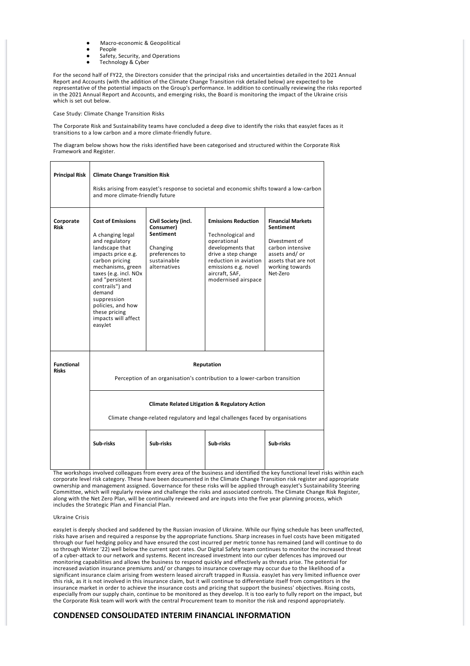- Macro-economic & Geopolitical
- People
- Safety, Security, and Operations
- Technology & Cyber

For the second half of FY22, the Directors consider that the principal risks and uncertainties detailed in the 2021 Annual Report and Accounts (with the addition of the Climate Change Transition risk detailed below) are expected to be representative of the potential impacts on the Group's performance. In addition to continually reviewing the risks reported in the 2021 Annual Report and Accounts, and emerging risks, the Board is monitoring the impact of the Ukraine crisis which is set out below.

Case Study: Climate Change Transition Risks

The Corporate Risk and Sustainability teams have concluded a deep dive to identify the risks that easyJet faces as it transitions to a low carbon and a more climate‐friendly future.

The diagram below shows how the risks identified have been categorised and structured within the Corporate Risk Framework and Register.

| <b>Principal Risk</b>             | <b>Climate Change Transition Risk</b><br>Risks arising from easyJet's response to societal and economic shifts toward a low-carbon<br>and more climate-friendly future                                                                                                                                        |                                                                                                             |                                                                                                                                                                                                      |                                                                                                                                                   |  |  |  |
|-----------------------------------|---------------------------------------------------------------------------------------------------------------------------------------------------------------------------------------------------------------------------------------------------------------------------------------------------------------|-------------------------------------------------------------------------------------------------------------|------------------------------------------------------------------------------------------------------------------------------------------------------------------------------------------------------|---------------------------------------------------------------------------------------------------------------------------------------------------|--|--|--|
| Corporate<br><b>Risk</b>          | <b>Cost of Emissions</b><br>A changing legal<br>and regulatory<br>landscape that<br>impacts price e.g.<br>carbon pricing<br>mechanisms, green<br>taxes (e.g. incl. NOx<br>and "persistent<br>contrails") and<br>demand<br>suppression<br>policies, and how<br>these pricing<br>impacts will affect<br>easyJet | Civil Society (incl.<br>Consumer)<br>Sentiment<br>Changing<br>preferences to<br>sustainable<br>alternatives | <b>Emissions Reduction</b><br>Technological and<br>operational<br>developments that<br>drive a step change<br>reduction in aviation<br>emissions e.g. novel<br>aircraft, SAF,<br>modernised airspace | <b>Financial Markets</b><br>Sentiment<br>Divestment of<br>carbon intensive<br>assets and/or<br>assets that are not<br>working towards<br>Net-Zero |  |  |  |
| <b>Functional</b><br><b>Risks</b> | Reputation<br>Perception of an organisation's contribution to a lower-carbon transition                                                                                                                                                                                                                       |                                                                                                             |                                                                                                                                                                                                      |                                                                                                                                                   |  |  |  |
|                                   | <b>Climate Related Litigation &amp; Regulatory Action</b><br>Climate change-related regulatory and legal challenges faced by organisations                                                                                                                                                                    |                                                                                                             |                                                                                                                                                                                                      |                                                                                                                                                   |  |  |  |
|                                   | Sub-risks                                                                                                                                                                                                                                                                                                     | Sub-risks                                                                                                   | Sub-risks                                                                                                                                                                                            | Sub-risks                                                                                                                                         |  |  |  |

The workshops involved colleagues from every area of the business and identified the key functional level risks within each corporate level risk category. These have been documented in the Climate Change Transition risk register and appropriate ownership and management assigned. Governance for these risks will be applied through easyJet's Sustainability Steering Committee, which will regularly review and challenge the risks and associated controls. The Climate Change Risk Register, along with the Net Zero Plan, will be continually reviewed and are inputs into the five year planning process, which includes the Strategic Plan and Financial Plan.

# Ukraine Crisis

easyJet is deeply shocked and saddened by the Russian invasion of Ukraine. While our flying schedule has been unaffected, risks have arisen and required a response by the appropriate functions. Sharp increases in fuel costs have been mitigated through our fuel hedging policy and have ensured the cost incurred per metric tonne has remained (and will continue to do so through Winter '22) well below the current spot rates. Our Digital Safety team continues to monitor the increased threat of a cyber‐attack to our network and systems. Recent increased investment into our cyber defences has improved our monitoring capabilities and allows the business to respond quickly and effectively as threats arise. The potential for increased aviation insurance premiums and/ or changes to insurance coverage may occur due to the likelihood of a significant insurance claim arising from western leased aircraft trapped in Russia. easyJet has very limited influence over this risk, as it is not involved in this insurance claim, but it will continue to differentiate itself from competitors in the insurance market in order to achieve the insurance costs and pricing that support the business' objectives. Rising costs, especially from our supply chain, continue to be monitored as they develop. It is too early to fully report on the impact, but the Corporate Risk team will work with the central Procurement team to monitor the risk and respond appropriately.

# **CONDENSED CONSOLIDATED INTERIM FINANCIAL INFORMATION**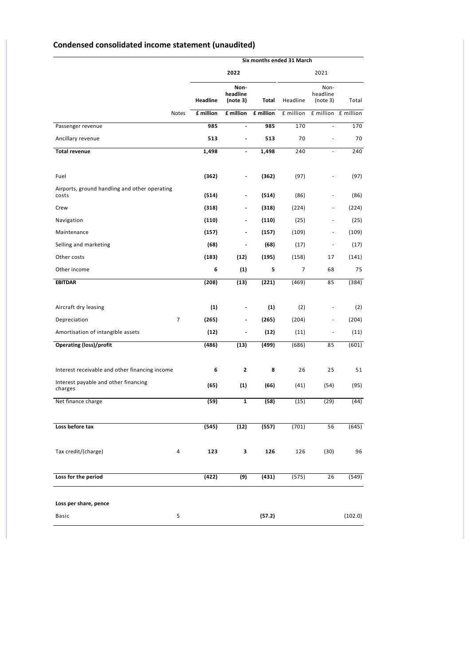# **Condensed consolidated income statement (unaudited)**

|                                                        |           |                              |           | Six months ended 31 March |                              |                     |
|--------------------------------------------------------|-----------|------------------------------|-----------|---------------------------|------------------------------|---------------------|
|                                                        |           | 2022                         |           |                           | 2021                         |                     |
|                                                        | Headline  | Non-<br>headline<br>(note 3) | Total     | Headline                  | Non-<br>headline<br>(note 3) | Total               |
| Notes                                                  | £ million | £ million                    | £ million | £ million                 |                              | £ million £ million |
| Passenger revenue                                      | 985       | $\blacksquare$               | 985       | 170                       | ä,                           | 170                 |
| Ancillary revenue                                      | 513       | $\blacksquare$               | 513       | 70                        | ä,                           | 70                  |
| <b>Total revenue</b>                                   | 1,498     | $\frac{1}{2}$                | 1,498     | 240                       |                              | 240                 |
|                                                        |           |                              |           |                           |                              |                     |
| Fuel                                                   | (362)     | $\overline{\phantom{a}}$     | (362)     | (97)                      |                              | (97)                |
| Airports, ground handling and other operating<br>costs | (514)     | $\overline{\phantom{0}}$     | (514)     | (86)                      | ÷,                           | (86)                |
| Crew                                                   | (318)     | $\overline{\phantom{a}}$     | (318)     | (224)                     | ÷,                           | (224)               |
| Navigation                                             | (110)     | $\overline{\phantom{a}}$     | (110)     | (25)                      | -                            | (25)                |
| Maintenance                                            | (157)     |                              | (157)     | (109)                     | ä,                           | (109)               |
| Selling and marketing                                  | (68)      | $\overline{\phantom{a}}$     | (68)      | (17)                      | $\frac{1}{2}$                | (17)                |
| Other costs                                            | (183)     | (12)                         | (195)     | (158)                     | 17                           | (141)               |
| Other income                                           | 6         | (1)                          | 5         | $\overline{7}$            | 68                           | 75                  |
| <b>EBITDAR</b>                                         | (208)     | (13)                         | (221)     | (469)                     | 85                           | (384)               |
|                                                        |           |                              |           |                           |                              |                     |
| Aircraft dry leasing                                   | (1)       | $\overline{\phantom{a}}$     | (1)       | (2)                       | ÷,                           | (2)                 |
| $\overline{7}$<br>Depreciation                         | (265)     | $\overline{\phantom{a}}$     | (265)     | (204)                     | -                            | (204)               |
| Amortisation of intangible assets                      | (12)      | $\overline{\phantom{a}}$     | (12)      | (11)                      | ÷,                           | (11)                |
| <b>Operating (loss)/profit</b>                         | (486)     | (13)                         | (499)     | (686)                     | 85                           | (601)               |
| Interest receivable and other financing income         | 6         | $\mathbf{z}$                 | 8         | 26                        | 25                           | 51                  |
| Interest payable and other financing<br>charges        | (65)      | (1)                          | (66)      | (41)                      | (54)                         | (95)                |
| Net finance charge                                     | (59)      | 1                            | (58)      | (15)                      | (29)                         | (44)                |
|                                                        |           |                              |           |                           |                              |                     |
| Loss before tax                                        | (545)     | (12)                         | (557)     | (701)                     | 56                           | (645)               |
| Tax credit/(charge)<br>4                               | 123       | 3                            | 126       | 126                       | (30)                         | 96                  |
| Loss for the period                                    | (422)     | (9)                          | (431)     | (575)                     | 26                           | (549)               |
| Loss per share, pence                                  |           |                              |           |                           |                              |                     |
| 5<br>Basic                                             |           |                              | (57.2)    |                           |                              | (102.0)             |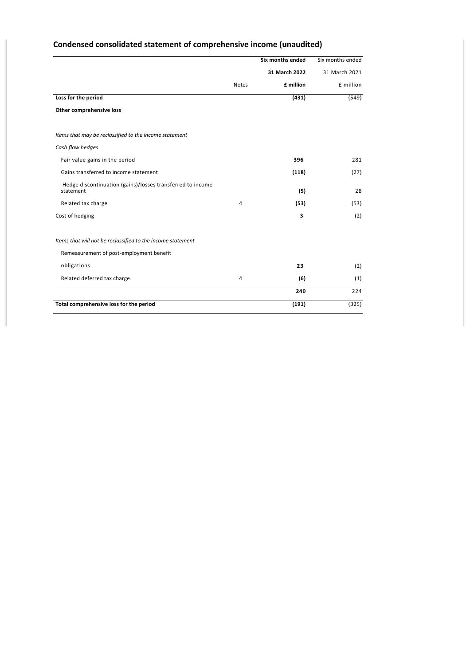# **Condensed consolidated statement of comprehensive income (unaudited)**

|                                                                         |              | <b>Six months ended</b> | Six months ended |
|-------------------------------------------------------------------------|--------------|-------------------------|------------------|
|                                                                         |              | 31 March 2022           | 31 March 2021    |
|                                                                         | <b>Notes</b> | £ million               | £ million        |
| Loss for the period                                                     |              | (431)                   | (549)            |
| Other comprehensive loss                                                |              |                         |                  |
| Items that may be reclassified to the income statement                  |              |                         |                  |
| Cash flow hedges                                                        |              |                         |                  |
|                                                                         |              |                         |                  |
| Fair value gains in the period                                          |              | 396                     | 281              |
| Gains transferred to income statement                                   |              | (118)                   | (27)             |
| Hedge discontinuation (gains)/losses transferred to income<br>statement |              | (5)                     | 28               |
| Related tax charge                                                      | 4            | (53)                    | (53)             |
| Cost of hedging                                                         |              | 3                       | (2)              |
| Items that will not be reclassified to the income statement             |              |                         |                  |
| Remeasurement of post-employment benefit                                |              |                         |                  |
| obligations                                                             |              | 23                      | (2)              |
| Related deferred tax charge                                             | 4            | (6)                     | (1)              |
|                                                                         |              | 240                     | 224              |
| Total comprehensive loss for the period                                 |              | (191)                   | (325)            |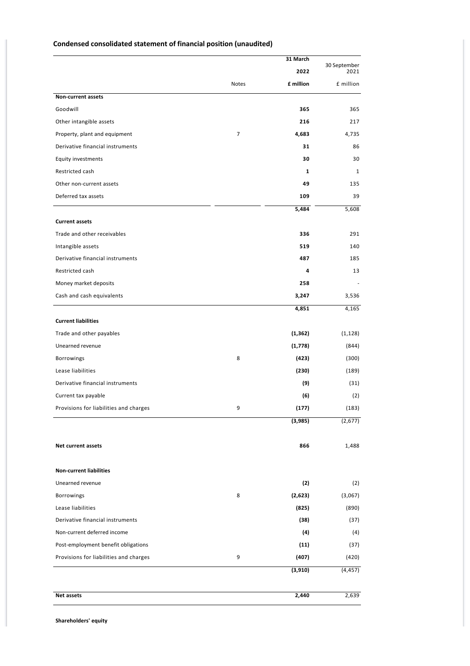|                                        |                | 31 March  | 30 September |
|----------------------------------------|----------------|-----------|--------------|
|                                        |                | 2022      | 2021         |
|                                        | Notes          | £ million | £ million    |
| <b>Non-current assets</b>              |                |           |              |
| Goodwill                               |                | 365       | 365          |
| Other intangible assets                |                | 216       | 217          |
| Property, plant and equipment          | $\overline{7}$ | 4,683     | 4,735        |
| Derivative financial instruments       |                | 31        | 86           |
| <b>Equity investments</b>              |                | 30        | 30           |
| Restricted cash                        |                | 1         | 1            |
| Other non-current assets               |                | 49        | 135          |
| Deferred tax assets                    |                | 109       | 39           |
|                                        |                | 5,484     | 5,608        |
| <b>Current assets</b>                  |                |           |              |
| Trade and other receivables            |                | 336       | 291          |
| Intangible assets                      |                | 519       | 140          |
| Derivative financial instruments       |                | 487       | 185          |
| Restricted cash                        |                | 4         | 13           |
| Money market deposits                  |                | 258       |              |
| Cash and cash equivalents              |                | 3,247     | 3,536        |
|                                        |                | 4,851     | 4,165        |
| <b>Current liabilities</b>             |                |           |              |
| Trade and other payables               |                | (1, 362)  | (1, 128)     |
| Unearned revenue                       |                | (1,778)   | (844)        |
| Borrowings                             | 8              | (423)     | (300)        |
| Lease liabilities                      |                | (230)     | (189)        |
| Derivative financial instruments       |                | (9)       | (31)         |
| Current tax payable                    |                | (6)       | (2)          |
| Provisions for liabilities and charges | 9              | (177)     | (183)        |
|                                        |                | (3,985)   | (2,677)      |
| <b>Net current assets</b>              |                | 866       | 1,488        |
| <b>Non-current liabilities</b>         |                |           |              |
| Unearned revenue                       |                | (2)       | (2)          |
| Borrowings                             | 8              | (2,623)   | (3,067)      |
| Lease liabilities                      |                | (825)     | (890)        |
| Derivative financial instruments       |                | (38)      | (37)         |
| Non-current deferred income            |                | (4)       | (4)          |
| Post-employment benefit obligations    |                | (11)      | (37)         |
| Provisions for liabilities and charges | 9              | (407)     | (420)        |
|                                        |                | (3, 910)  | (4, 457)     |
|                                        |                |           |              |
| Net assets                             |                | 2,440     | 2,639        |

# **Condensed consolidated statement of financial position (unaudited)**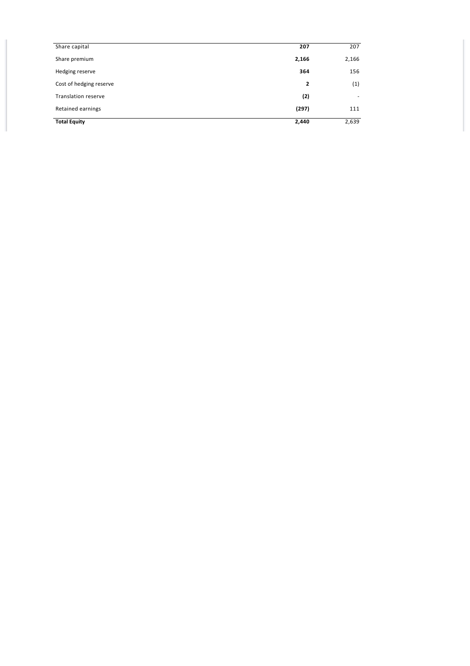| Share capital              | 207          | 207                      |
|----------------------------|--------------|--------------------------|
| Share premium              | 2,166        | 2,166                    |
| Hedging reserve            | 364          | 156                      |
| Cost of hedging reserve    | $\mathbf{2}$ | (1)                      |
| <b>Translation reserve</b> | (2)          | $\overline{\phantom{a}}$ |
| Retained earnings          | (297)        | 111                      |
| <b>Total Equity</b>        | 2,440        | 2,639                    |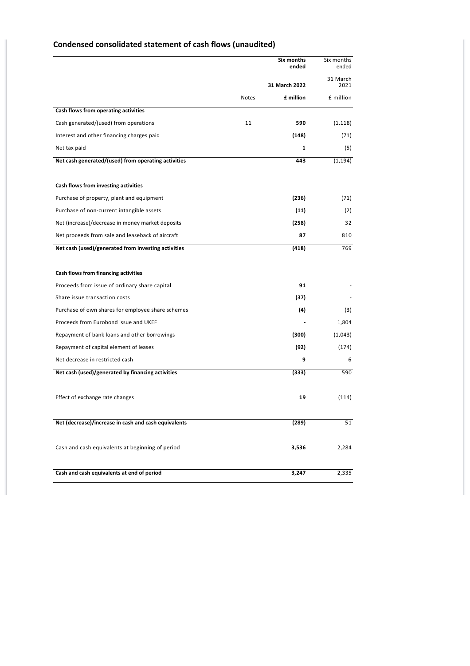|                                                      |       | Six months<br>ended | Six months<br>ended |
|------------------------------------------------------|-------|---------------------|---------------------|
|                                                      |       | 31 March 2022       | 31 March<br>2021    |
|                                                      | Notes | £ million           | £ million           |
| Cash flows from operating activities                 |       |                     |                     |
| Cash generated/(used) from operations                | 11    | 590                 | (1, 118)            |
| Interest and other financing charges paid            |       | (148)               | (71)                |
| Net tax paid                                         |       | 1                   | (5)                 |
| Net cash generated/(used) from operating activities  |       | 443                 | (1, 194)            |
| Cash flows from investing activities                 |       |                     |                     |
| Purchase of property, plant and equipment            |       | (236)               | (71)                |
| Purchase of non-current intangible assets            |       | (11)                | (2)                 |
| Net (increase)/decrease in money market deposits     |       | (258)               | 32                  |
| Net proceeds from sale and leaseback of aircraft     |       | 87                  | 810                 |
| Net cash (used)/generated from investing activities  |       | (418)               | 769                 |
|                                                      |       |                     |                     |
| Cash flows from financing activities                 |       |                     |                     |
| Proceeds from issue of ordinary share capital        |       | 91                  |                     |
| Share issue transaction costs                        |       | (37)                |                     |
| Purchase of own shares for employee share schemes    |       | (4)                 | (3)                 |
| Proceeds from Eurobond issue and UKEF                |       |                     | 1,804               |
| Repayment of bank loans and other borrowings         |       | (300)               | (1,043)             |
| Repayment of capital element of leases               |       | (92)                | (174)               |
| Net decrease in restricted cash                      |       | 9                   | 6                   |
| Net cash (used)/generated by financing activities    |       | (333)               | 590                 |
| Effect of exchange rate changes                      |       | 19                  | (114)               |
| Net (decrease)/increase in cash and cash equivalents |       | (289)               | 51                  |
| Cash and cash equivalents at beginning of period     |       | 3,536               | 2,284               |
| Cash and cash equivalents at end of period           |       | 3,247               | 2,335               |

# **Condensed consolidated statement of cash flows (unaudited)**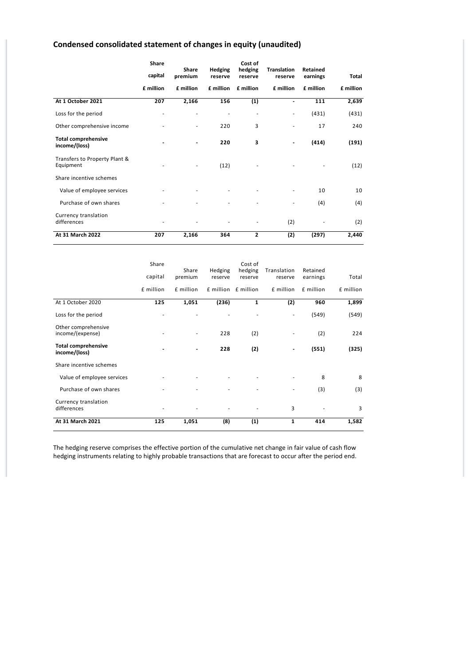# **Condensed consolidated statement of changes in equity (unaudited)**

|                                             | <b>Share</b>   | Share                    |                    | Cost of            |                               | Retained  |           |
|---------------------------------------------|----------------|--------------------------|--------------------|--------------------|-------------------------------|-----------|-----------|
|                                             | capital        | premium                  | Hedging<br>reserve | hedging<br>reserve | <b>Translation</b><br>reserve | earnings  | Total     |
|                                             | £ million      | £ million                | £ million          | £ million          | £ million                     | £ million | £ million |
| At 1 October 2021                           | 207            | 2,166                    | 156                | (1)                | $\overline{\phantom{0}}$      | 111       | 2,639     |
| Loss for the period                         | ٠              | ٠                        |                    |                    | ٠                             | (431)     | (431)     |
| Other comprehensive income                  |                | $\overline{\phantom{0}}$ | 220                | 3                  | ٠                             | 17        | 240       |
| <b>Total comprehensive</b><br>income/(loss) | $\blacksquare$ | $\overline{\phantom{a}}$ | 220                | 3                  |                               | (414)     | (191)     |
| Transfers to Property Plant &<br>Equipment  |                | ٠                        | (12)               |                    |                               |           | (12)      |
| Share incentive schemes                     |                |                          |                    |                    |                               |           |           |
| Value of employee services                  |                |                          |                    |                    |                               | 10        | 10        |
| Purchase of own shares                      |                |                          |                    |                    |                               | (4)       | (4)       |
| Currency translation<br>differences         |                | ۰                        |                    | ٠                  | (2)                           |           | (2)       |
| At 31 March 2022                            | 207            | 2,166                    | 364                | $\overline{2}$     | (2)                           | (297)     | 2,440     |

|                                             | Share     | Share                    | Hedging | Cost of<br>hedging  | Translation  | Retained  |           |
|---------------------------------------------|-----------|--------------------------|---------|---------------------|--------------|-----------|-----------|
|                                             | capital   | premium                  | reserve | reserve             | reserve      | earnings  | Total     |
|                                             | £ million | £ million                |         | £ million £ million | £ million    | £ million | £ million |
| At 1 October 2020                           | 125       | 1,051                    | (236)   | 1                   | (2)          | 960       | 1,899     |
| Loss for the period                         | ۰         | ٠                        | ٠       | ٠                   | ۰            | (549)     | (549)     |
| Other comprehensive<br>income/(expense)     | ٠         | $\overline{\phantom{0}}$ | 228     | (2)                 | ٠            | (2)       | 224       |
| <b>Total comprehensive</b><br>income/(loss) | -         |                          | 228     | (2)                 | -            | (551)     | (325)     |
| Share incentive schemes                     |           |                          |         |                     |              |           |           |
| Value of employee services                  | ٠         |                          |         |                     |              | 8         | 8         |
| Purchase of own shares                      | ٠         |                          |         |                     |              | (3)       | (3)       |
| Currency translation<br>differences         | ٠         |                          |         |                     | 3            |           | 3         |
| At 31 March 2021                            | 125       | 1,051                    | (8)     | (1)                 | $\mathbf{1}$ | 414       | 1,582     |

The hedging reserve comprises the effective portion of the cumulative net change in fair value of cash flow hedging instruments relating to highly probable transactions that are forecast to occur after the period end.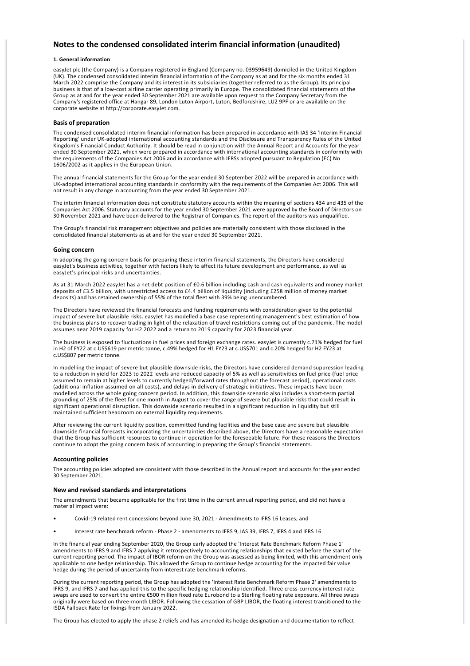# **Notes to the condensed consolidated interim financial information (unaudited)**

### **1. General information**

easyJet plc (the Company) is a Company registered in England (Company no. 03959649) domiciled in the United Kingdom (UK). The condensed consolidated interim financial information of the Company as at and for the six months ended 31 March 2022 comprise the Company and its interest in its subsidiaries (together referred to as the Group). Its principal business is that of a low‐cost airline carrier operating primarily in Europe. The consolidated financial statements of the Group as at and for the year ended 30 September 2021 are available upon request to the Company Secretary from the Company's registered office at Hangar 89, London Luton Airport, Luton, Bedfordshire, LU2 9PF or are available on the corporate website at http://corporate.easyJet.com.

#### **Basis of preparation**

The condensed consolidated interim financial information has been prepared in accordance with IAS 34 'Interim Financial Reporting' under UK‐adopted international accounting standards and the Disclosure and Transparency Rules of the United Kingdom's Financial Conduct Authority. It should be read in conjunction with the Annual Report and Accounts for the year ended 30 September 2021, which were prepared in accordance with international accounting standards in conformity with the requirements of the Companies Act 2006 and in accordance with IFRSs adopted pursuant to Regulation (EC) No 1606/2002 as it applies in the European Union.

The annual financial statements for the Group for the year ended 30 September 2022 will be prepared in accordance with UK‐adopted international accounting standards in conformity with the requirements of the Companies Act 2006. This will not result in any change in accounting from the year ended 30 September 2021.

The interim financial information does not constitute statutory accounts within the meaning of sections 434 and 435 of the Companies Act 2006. Statutory accounts for the year ended 30 September 2021 were approved by the Board of Directors on 30 November 2021 and have been delivered to the Registrar of Companies. The report of the auditors was unqualified.

The Group's financial risk management objectives and policies are materially consistent with those disclosed in the consolidated financial statements as at and for the year ended 30 September 2021.

#### **Going concern**

In adopting the going concern basis for preparing these interim financial statements, the Directors have considered easyJet's business activities, together with factors likely to affect its future development and performance, as well as easyJet's principal risks and uncertainties.

As at 31 March 2022 easyJet has a net debt position of £0.6 billion including cash and cash equivalents and money market deposits of £3.5 billion, with unrestricted access to £4.4 billion of liquidity (including £258 million of money market deposits) and has retained ownership of 55% of the total fleet with 39% being unencumbered.

The Directors have reviewed the financial forecasts and funding requirements with consideration given to the potential impact of severe but plausible risks. easyJet has modelled a base case representing management's best estimation of how the business plans to recover trading in light of the relaxation of travel restrictions coming out of the pandemic. The model assumes near 2019 capacity for H2 2022 and a return to 2019 capacity for 2023 financial year.

The business is exposed to fluctuations in fuel prices and foreign exchange rates. easyJet is currently c.71% hedged for fuel in H2 of FY22 at c.US\$619 per metric tonne, c.49% hedged for H1 FY23 at c.US\$701 and c.20% hedged for H2 FY23 at c.US\$807 per metric tonne.

In modelling the impact of severe but plausible downside risks, the Directors have considered demand suppression leading to a reduction in yield for 2023 to 2022 levels and reduced capacity of 5% as well as sensitivities on fuel price (fuel price assumed to remain at higher levels to currently hedged/forward rates throughout the forecast period), operational costs (additional inflation assumed on all costs), and delays in delivery of strategic initiatives. These impacts have been modelled across the whole going concern period. In addition, this downside scenario also includes a short‐term partial grounding of 25% of the fleet for one month in August to cover the range of severe but plausible risks that could result in significant operational disruption. This downside scenario resulted in a significant reduction in liquidity but still maintained sufficient headroom on external liquidity requirements.

After reviewing the current liquidity position, committed funding facilities and the base case and severe but plausible downside financial forecasts incorporating the uncertainties described above, the Directors have a reasonable expectation that the Group has sufficient resources to continue in operation for the foreseeable future. For these reasons the Directors continue to adopt the going concern basis of accounting in preparing the Group's financial statements.

#### **Accounting policies**

The accounting policies adopted are consistent with those described in the Annual report and accounts for the year ended 30 September 2021.

### **New and revised standards and interpretations**

The amendments that became applicable for the first time in the current annual reporting period, and did not have a material impact were:

- Covid‐19 related rent concessions beyond June 30, 2021 ‐ Amendments to IFRS 16 Leases; and
- Interest rate benchmark reform Phase 2 amendments to IFRS 9, IAS 39, IFRS 7, IFRS 4 and IFRS 16

In the financial year ending September 2020, the Group early adopted the 'Interest Rate Benchmark Reform Phase 1' amendments to IFRS 9 and IFRS 7 applying it retrospectively to accounting relationships that existed before the start of the current reporting period. The impact of IBOR reform on the Group was assessed as being limited, with this amendment only applicable to one hedge relationship. This allowed the Group to continue hedge accounting for the impacted fair value hedge during the period of uncertainty from interest rate benchmark reforms.

During the current reporting period, the Group has adopted the 'Interest Rate Benchmark Reform Phase 2' amendments to IFRS 9, and IFRS 7 and has applied this to the specific hedging relationship identified. Three cross‐currency interest rate swaps are used to convert the entire €500 million fixed rate Eurobond to a Sterling floating rate exposure. All three swaps originally were based on three‐month LIBOR. Following the cessation of GBP LIBOR, the floating interest transitioned to the ISDA Fallback Rate for fixings from January 2022.

The Group has elected to apply the phase 2 reliefs and has amended its hedge designation and documentation to reflect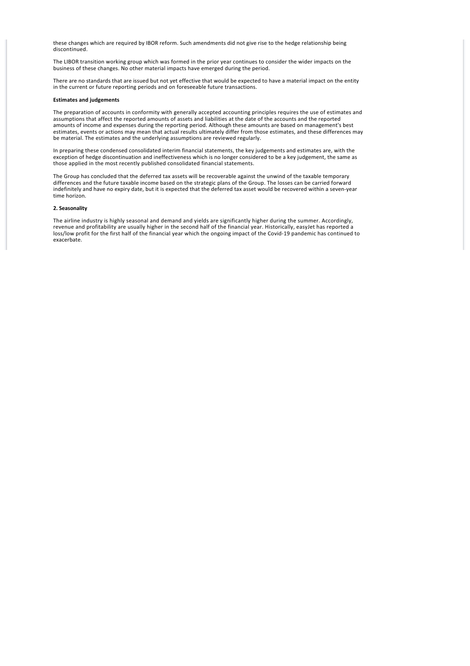these changes which are required by IBOR reform. Such amendments did not give rise to the hedge relationship being discontinued.

The LIBOR transition working group which was formed in the prior year continues to consider the wider impacts on the business of these changes. No other material impacts have emerged during the period.

There are no standards that are issued but not yet effective that would be expected to have a material impact on the entity in the current or future reporting periods and on foreseeable future transactions.

### **Estimates and judgements**

The preparation of accounts in conformity with generally accepted accounting principles requires the use of estimates and assumptions that affect the reported amounts of assets and liabilities at the date of the accounts and the reported amounts of income and expenses during the reporting period. Although these amounts are based on management's best estimates, events or actions may mean that actual results ultimately differ from those estimates, and these differences may be material. The estimates and the underlying assumptions are reviewed regularly.

In preparing these condensed consolidated interim financial statements, the key judgements and estimates are, with the exception of hedge discontinuation and ineffectiveness which is no longer considered to be a key judgement, the same as those applied in the most recently published consolidated financial statements.

The Group has concluded that the deferred tax assets will be recoverable against the unwind of the taxable temporary differences and the future taxable income based on the strategic plans of the Group. The losses can be carried forward indefinitely and have no expiry date, but it is expected that the deferred tax asset would be recovered within a seven‐year time horizon.

#### **2. Seasonality**

The airline industry is highly seasonal and demand and yields are significantly higher during the summer. Accordingly, revenue and profitability are usually higher in the second half of the financial year. Historically, easyJet has reported a loss/low profit for the first half of the financial year which the ongoing impact of the Covid‐19 pandemic has continued to exacerbate.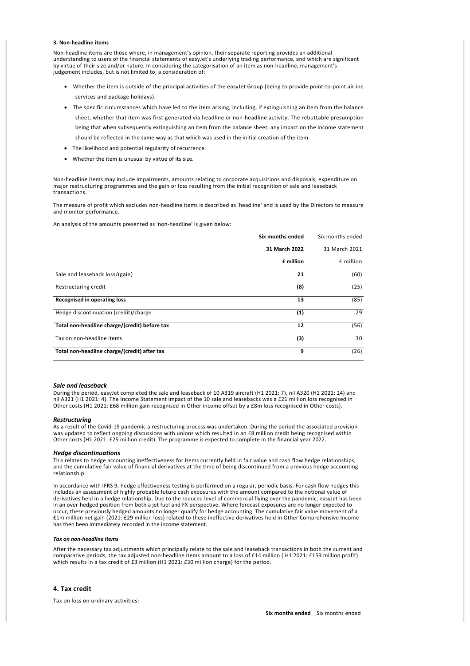#### **3. Non‐headline items**

Non‐headline items are those where, in management's opinion, their separate reporting provides an additional understanding to users of the financial statements of easyJet's underlying trading performance, and which are significant by virtue of their size and/or nature. In considering the categorisation of an item as non-headline, management's judgement includes, but is not limited to, a consideration of:

- · Whether the item is outside of the principal activities of the easyJet Group (being to provide point‐to‐point airline services and package holidays).
- · The specific circumstances which have led to the item arising, including, if extinguishing an item from the balance sheet, whether that item was first generated via headline or non‐headline activity. The rebuttable presumption

being that when subsequently extinguishing an item from the balance sheet, any impact on the income statement should be reflected in the same way as that which was used in the initial creation of the item.

- · The likelihood and potential regularity of recurrence.
- · Whether the item is unusual by virtue of its size.

Non‐headline items may include impairments, amounts relating to corporate acquisitions and disposals, expenditure on major restructuring programmes and the gain or loss resulting from the initial recognition of sale and leaseback transactions.

The measure of profit which excludes non-headline items is described as 'headline' and is used by the Directors to measure and monitor performance.

An analysis of the amounts presented as 'non‐headline' is given below:

|                                               | Six months ended | Six months ended |
|-----------------------------------------------|------------------|------------------|
|                                               | 31 March 2022    | 31 March 2021    |
|                                               | £ million        | £ million        |
| Sale and leaseback loss/(gain)                | 21               | (60)             |
| Restructuring credit                          | (8)              | (25)             |
| <b>Recognised in operating loss</b>           | 13               | (85)             |
| Hedge discontinuation (credit)/charge         | (1)              | 29               |
| Total non-headline charge/(credit) before tax | 12               | (56)             |
| Tax on non-headline items                     | (3)              | 30               |
| Total non-headline charge/(credit) after tax  | 9                | (26)             |

#### *Sale and leaseback*

During the period, easyJet completed the sale and leaseback of 10 A319 aircraft (H1 2021: 7), nil A320 (H1 2021: 24) and nil A321 (H1 2021: 4). The Income Statement impact of the 10 sale and leasebacks was a £21 million loss recognised in Other costs (H1 2021: £68 million gain recognised in Other income offset by a £8m loss recognised in Other costs).

#### *Restructuring*

As a result of the Covid‐19 pandemic a restructuring process was undertaken. During the period the associated provision was updated to reflect ongoing discussions with unions which resulted in an £8 million credit being recognised within Other costs (H1 2021: £25 million credit). The programme is expected to complete in the financial year 2022.

#### *Hedge discontinuations*

This relates to hedge accounting ineffectiveness for items currently held in fair value and cash flow hedge relationships, and the cumulative fair value of financial derivatives at the time of being discontinued from a previous hedge accounting relationship.

In accordance with IFRS 9, hedge effectiveness testing is performed on a regular, periodic basis. For cash flow hedges this includes an assessment of highly probable future cash exposures with the amount compared to the notional value of derivatives held in a hedge relationship. Due to the reduced level of commercial flying over the pandemic, easyJet has been in an over‐hedged position from both a jet fuel and FX perspective. Where forecast exposures are no longer expected to occur, these previously hedged amounts no longer qualify for hedge accounting. The cumulative fair value movement of a £1m million net gain (2021: £29 million loss) related to these ineffective derivatives held in Other Comprehensive Income has then been immediately recorded in the income statement.

#### *Tax on non‐headline items*

After the necessary tax adjustments which principally relate to the sale and leaseback transactions in both the current and comparative periods, the tax adjusted non‐headline items amount to a loss of £14 million ( H1 2021: £159 million profit) which results in a tax credit of £3 million (H1 2021: £30 million charge) for the period.

# **4. Tax credit**

Tax on loss on ordinary activities: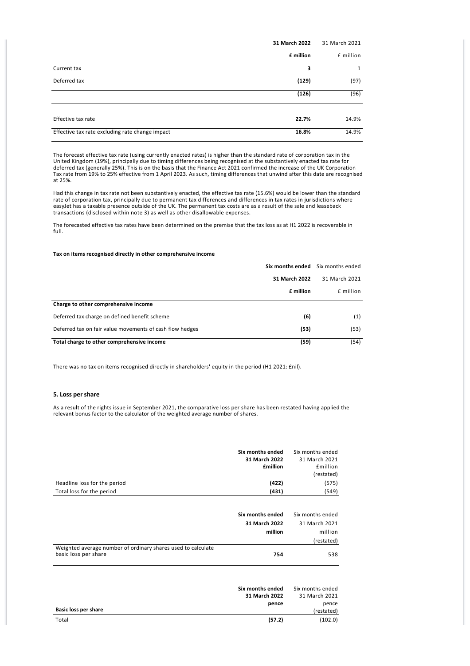|                                                 | 31 March 2022 | 31 March 2021 |
|-------------------------------------------------|---------------|---------------|
|                                                 | £ million     | £ million     |
| Current tax                                     | 3             | $\mathbf{1}$  |
| Deferred tax                                    | (129)         | (97)          |
|                                                 | (126)         | (96)          |
|                                                 |               |               |
| Effective tax rate                              | 22.7%         | 14.9%         |
| Effective tax rate excluding rate change impact | 16.8%         | 14.9%         |

The forecast effective tax rate (using currently enacted rates) is higher than the standard rate of corporation tax in the United Kingdom (19%), principally due to timing differences being recognised at the substantively enacted tax rate for deferred tax (generally 25%). This is on the basis that the Finance Act 2021 confirmed the increase of the UK Corporation Tax rate from 19% to 25% effective from 1 April 2023. As such, timing differences that unwind after this date are recognised at 25%.

Had this change in tax rate not been substantively enacted, the effective tax rate (15.6%) would be lower than the standard rate of corporation tax, principally due to permanent tax differences and differences in tax rates in jurisdictions where easyJet has a taxable presence outside of the UK. The permanent tax costs are as a result of the sale and leaseback transactions (disclosed within note 3) as well as other disallowable expenses.

The forecasted effective tax rates have been determined on the premise that the tax loss as at H1 2022 is recoverable in full.

# **Tax on items recognised directly in other comprehensive income**

|                                                          | Six months ended | Six months ended |
|----------------------------------------------------------|------------------|------------------|
|                                                          | 31 March 2022    | 31 March 2021    |
|                                                          | £ million        | f million        |
| Charge to other comprehensive income                     |                  |                  |
| Deferred tax charge on defined benefit scheme            | (6)              | (1)              |
| Deferred tax on fair value movements of cash flow hedges | (53)             | (53)             |
| Total charge to other comprehensive income               | (59)             | (54)             |

There was no tax on items recognised directly in shareholders' equity in the period (H1 2021: £nil).

# **5. Loss per share**

As a result of the rights issue in September 2021, the comparative loss per share has been restated having applied the relevant bonus factor to the calculator of the weighted average number of shares.

|                                                              | Six months ended                             | Six months ended                                           |
|--------------------------------------------------------------|----------------------------------------------|------------------------------------------------------------|
|                                                              | 31 March 2022                                | 31 March 2021                                              |
|                                                              | <b>£million</b>                              | <b>£million</b>                                            |
|                                                              |                                              | (restated)                                                 |
| Headline loss for the period                                 | (422)                                        | (575)                                                      |
| Total loss for the period                                    | (431)                                        | (549)                                                      |
| Weighted average number of ordinary shares used to calculate | Six months ended<br>31 March 2022<br>million | Six months ended<br>31 March 2021<br>million<br>(restated) |
| basic loss per share                                         | 754                                          | 538                                                        |
|                                                              |                                              |                                                            |

|                      | Six months ended | Six months ended |
|----------------------|------------------|------------------|
|                      | 31 March 2022    | 31 March 2021    |
|                      | pence            | pence            |
| Basic loss per share |                  | (restated)       |
| Total                | (57.2)           | (102.0)          |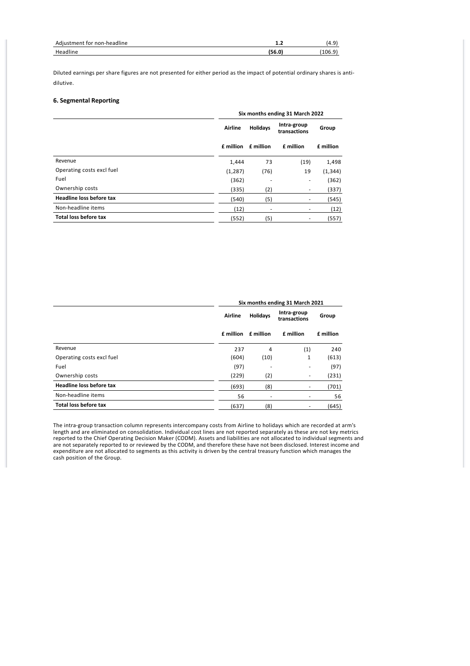| Adiustment for non-headline |        | .4.5  |
|-----------------------------|--------|-------|
| Headline                    | (56.0) | 106.9 |

Diluted earnings per share figures are not presented for either period as the impact of potential ordinary shares is anti‐ dilutive.

# **6. Segmental Reporting**

|                              |           | Six months ending 31 March 2022 |                             |           |  |  |  |
|------------------------------|-----------|---------------------------------|-----------------------------|-----------|--|--|--|
|                              | Airline   | <b>Holidays</b>                 | Intra-group<br>transactions | Group     |  |  |  |
|                              | £ million | £ million                       | £ million                   | £ million |  |  |  |
| Revenue                      | 1,444     | 73                              | (19)                        | 1,498     |  |  |  |
| Operating costs excl fuel    | (1, 287)  | (76)                            | 19                          | (1, 344)  |  |  |  |
| Fuel                         | (362)     |                                 | ٠                           | (362)     |  |  |  |
| Ownership costs              | (335)     | (2)                             | ۰                           | (337)     |  |  |  |
| Headline loss before tax     | (540)     | (5)                             | ٠                           | (545)     |  |  |  |
| Non-headline items           | (12)      | ۰                               | ٠                           | (12)      |  |  |  |
| <b>Total loss before tax</b> | (552)     | (5)                             | ٠                           | (557)     |  |  |  |
|                              |           |                                 |                             |           |  |  |  |

|                                 | Six months ending 31 March 2021 |                 |                             |           |  |  |
|---------------------------------|---------------------------------|-----------------|-----------------------------|-----------|--|--|
|                                 | Airline                         | <b>Holidays</b> | Intra-group<br>transactions | Group     |  |  |
|                                 | £ million                       | £ million       | £ million                   | £ million |  |  |
| Revenue                         | 237                             | 4               | (1)                         | 240       |  |  |
| Operating costs excl fuel       | (604)                           | (10)            | 1                           | (613)     |  |  |
| Fuel                            | (97)                            | ٠               | ٠                           | (97)      |  |  |
| Ownership costs                 | (229)                           | (2)             | ۰                           | (231)     |  |  |
| <b>Headline loss before tax</b> | (693)                           | (8)             | ۰                           | (701)     |  |  |
| Non-headline items              | 56                              | ۰               | ٠                           | 56        |  |  |
| Total loss before tax           | (637)                           | (8)             | ۰                           | (645)     |  |  |

The intra‐group transaction column represents intercompany costs from Airline to holidays which are recorded at arm's length and are eliminated on consolidation. Individual cost lines are not reported separately as these are not key metrics reported to the Chief Operating Decision Maker (CODM). Assets and liabilities are not allocated to individual segments and are not separately reported to or reviewed by the CODM, and therefore these have not been disclosed. Interest income and expenditure are not allocated to segments as this activity is driven by the central treasury function which manages the cash position of the Group.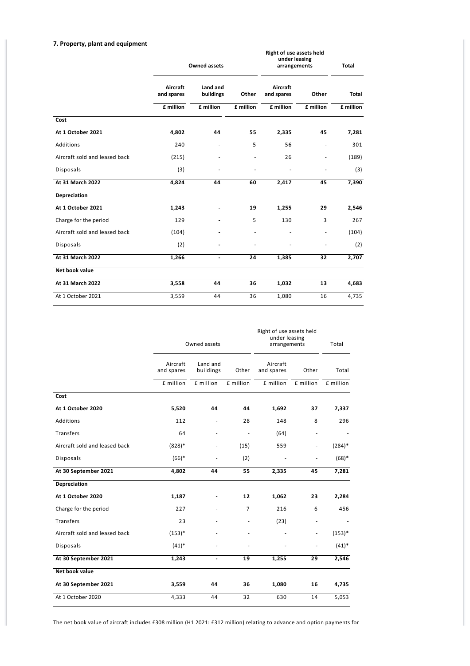# **7. Property, plant and equipment**

|                               |                        | <b>Owned assets</b>   |                          |                        | Right of use assets held<br>under leasing<br>arrangements |           |
|-------------------------------|------------------------|-----------------------|--------------------------|------------------------|-----------------------------------------------------------|-----------|
|                               | Aircraft<br>and spares | Land and<br>buildings | Other                    | Aircraft<br>and spares | Other                                                     | Total     |
|                               | £ million              | £ million             | £ million                | £ million              | £ million                                                 | £ million |
| Cost                          |                        |                       |                          |                        |                                                           |           |
| At 1 October 2021             | 4,802                  | 44                    | 55                       | 2,335                  | 45                                                        | 7,281     |
| Additions                     | 240                    |                       | 5                        | 56                     | ٠                                                         | 301       |
| Aircraft sold and leased back | (215)                  |                       | $\overline{\phantom{a}}$ | 26                     |                                                           | (189)     |
| <b>Disposals</b>              | (3)                    |                       |                          |                        |                                                           | (3)       |
| At 31 March 2022              | 4,824                  | 44                    | 60                       | 2,417                  | 45                                                        | 7,390     |
| Depreciation                  |                        |                       |                          |                        |                                                           |           |
| At 1 October 2021             | 1,243                  |                       | 19                       | 1,255                  | 29                                                        | 2,546     |
| Charge for the period         | 129                    |                       | 5                        | 130                    | 3                                                         | 267       |
| Aircraft sold and leased back | (104)                  |                       | $\overline{\phantom{a}}$ |                        |                                                           | (104)     |
| Disposals                     | (2)                    |                       |                          |                        |                                                           | (2)       |
| At 31 March 2022              | 1,266                  | $\blacksquare$        | 24                       | 1,385                  | 32                                                        | 2,707     |
| Net book value                |                        |                       |                          |                        |                                                           |           |
| At 31 March 2022              | 3,558                  | 44                    | 36                       | 1,032                  | 13                                                        | 4,683     |
| At 1 October 2021             | 3,559                  | 44                    | 36                       | 1,080                  | 16                                                        | 4,735     |

|                               | Owned assets           |                          |                | Right of use assets held<br>under leasing<br>arrangements | Total                    |           |
|-------------------------------|------------------------|--------------------------|----------------|-----------------------------------------------------------|--------------------------|-----------|
|                               | Aircraft<br>and spares | Land and<br>buildings    | Other          | Aircraft<br>and spares                                    | Other                    | Total     |
|                               | £ million              | £ million                | £ million      | £ million                                                 | £ million                | £ million |
| Cost                          |                        |                          |                |                                                           |                          |           |
| At 1 October 2020             | 5,520                  | 44                       | 44             | 1,692                                                     | 37                       | 7,337     |
| Additions                     | 112                    | L                        | 28             | 148                                                       | 8                        | 296       |
| <b>Transfers</b>              | 64                     | ä,                       | ÷,             | (64)                                                      | $\overline{\phantom{a}}$ |           |
| Aircraft sold and leased back | $(828)*$               |                          | (15)           | 559                                                       | $\overline{\phantom{a}}$ | $(284)^*$ |
| <b>Disposals</b>              | $(66)*$                |                          | (2)            |                                                           |                          | $(68)*$   |
| At 30 September 2021          | 4,802                  | 44                       | 55             | 2,335                                                     | 45                       | 7,281     |
| <b>Depreciation</b>           |                        |                          |                |                                                           |                          |           |
| At 1 October 2020             | 1,187                  |                          | 12             | 1,062                                                     | 23                       | 2,284     |
| Charge for the period         | 227                    |                          | $\overline{7}$ | 216                                                       | 6                        | 456       |
| <b>Transfers</b>              | 23                     |                          | ÷,             | (23)                                                      | $\overline{\phantom{a}}$ |           |
| Aircraft sold and leased back | $(153)*$               |                          |                |                                                           | ÷,                       | $(153)*$  |
| Disposals                     | $(41)^*$               |                          |                |                                                           | ä,                       | $(41)^*$  |
| At 30 September 2021          | 1,243                  | $\overline{\phantom{a}}$ | 19             | 1,255                                                     | 29                       | 2,546     |
| Net book value                |                        |                          |                |                                                           |                          |           |
| At 30 September 2021          | 3,559                  | 44                       | 36             | 1,080                                                     | 16                       | 4,735     |
| At 1 October 2020             | 4,333                  | 44                       | 32             | 630                                                       | 14                       | 5,053     |

The net book value of aircraft includes £308 million (H1 2021: £312 million) relating to advance and option payments for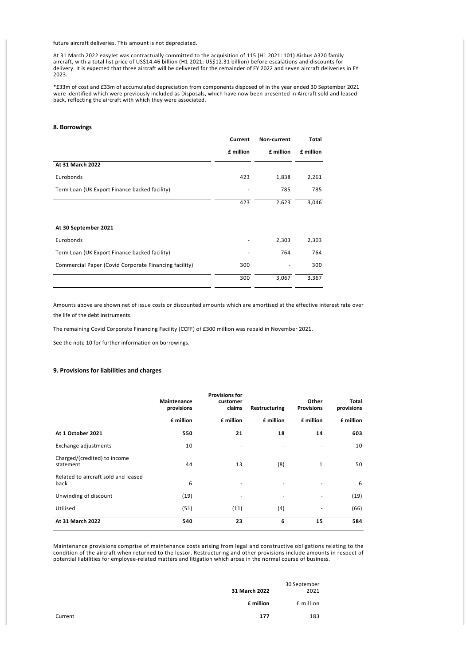future aircraft deliveries. This amount is not depreciated.

At 31 March 2022 easyJet was contractually committed to the acquisition of 115 (H1 2021: 101) Airbus A320 family aircraft, with a total list price of US\$14.46 billion (H1 2021: US\$12.31 billion) before escalations and discounts for delivery. It is expected that three aircraft will be delivered for the remainder of FY 2022 and seven aircraft deliveries in FY 2023.

\*£33m of cost and £33m of accumulated depreciation from components disposed of in the year ended 30 September 2021 were identified which were previously included as Disposals, which have now been presented in Aircraft sold and leased back, reflecting the aircraft with which they were associated.

#### **8. Borrowings**

|                                                       | Current   | Non-current | Total     |
|-------------------------------------------------------|-----------|-------------|-----------|
|                                                       | £ million | £ million   | £ million |
| At 31 March 2022                                      |           |             |           |
| Eurobonds                                             | 423       | 1,838       | 2,261     |
| Term Loan (UK Export Finance backed facility)         |           | 785         | 785       |
|                                                       | 423       | 2,623       | 3,046     |
|                                                       |           |             |           |
| At 30 September 2021                                  |           |             |           |
| Eurobonds                                             |           | 2,303       | 2,303     |
| Term Loan (UK Export Finance backed facility)         |           | 764         | 764       |
| Commercial Paper (Covid Corporate Financing facility) | 300       |             | 300       |
|                                                       | 300       | 3,067       | 3,367     |

Amounts above are shown net of issue costs or discounted amounts which are amortised at the effective interest rate over the life of the debt instruments.

The remaining Covid Corporate Financing Facility (CCFF) of £300 million was repaid in November 2021.

See the note 10 for further information on borrowings.

# **9. Provisions for liabilities and charges**

|                                             | Maintenance<br>provisions | <b>Provisions for</b><br>customer<br>claims | Restructuring | Other<br><b>Provisions</b> | Total<br>provisions |
|---------------------------------------------|---------------------------|---------------------------------------------|---------------|----------------------------|---------------------|
|                                             | £ million                 | £ million                                   | £ million     | £ million                  | £ million           |
| At 1 October 2021                           | 550                       | 21                                          | 18            | 14                         | 603                 |
| Exchange adjustments                        | 10                        |                                             |               | ٠                          | 10                  |
| Charged/(credited) to income<br>statement   | 44                        | 13                                          | (8)           | $\mathbf{1}$               | 50                  |
| Related to aircraft sold and leased<br>back | 6                         | ٠                                           | ٠             | $\overline{\phantom{a}}$   | 6                   |
| Unwinding of discount                       | (19)                      | ٠                                           | ٠             | ٠                          | (19)                |
| Utilised                                    | (51)                      | (11)                                        | (4)           | ٠                          | (66)                |
| At 31 March 2022                            | 540                       | 23                                          | 6             | 15                         | 584                 |

Maintenance provisions comprise of maintenance costs arising from legal and constructive obligations relating to the condition of the aircraft when returned to the lessor. Restructuring and other provisions include amounts in respect of potential liabilities for employee‐related matters and litigation which arose in the normal course of business.

|         | 31 March 2022 | 30 September<br>2021 |
|---------|---------------|----------------------|
|         | £ million     | £ million            |
| Current | 177           | 183                  |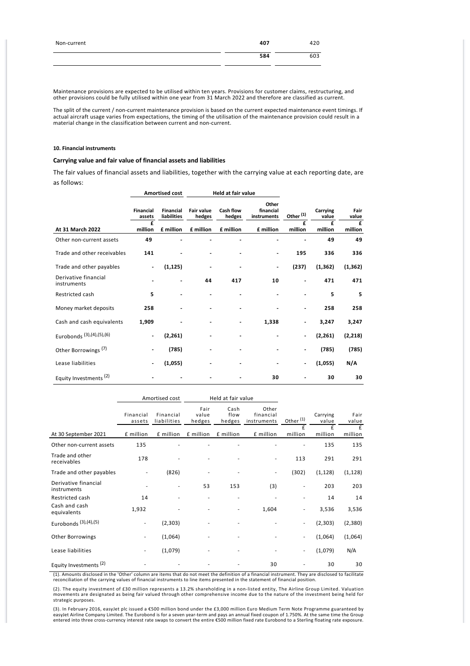| Non-current | 407 | 420 |
|-------------|-----|-----|
|             | 584 | 603 |

Maintenance provisions are expected to be utilised within ten years. Provisions for customer claims, restructuring, and other provisions could be fully utilised within one year from 31 March 2022 and therefore are classified as current.

The split of the current / non-current maintenance provision is based on the current expected maintenance event timings. If actual aircraft usage varies from expectations, the timing of the utilisation of the maintenance provision could result in a material change in the classification between current and non‐current.

#### **10. Financial instruments**

# **Carrying value and fair value of financial assets and liabilities**

The fair values of financial assets and liabilities, together with the carrying value at each reporting date, are as follows:

|                                     |                     | <b>Amortised cost</b>    | Held at fair value          |                     |                                   |                          |                   |               |
|-------------------------------------|---------------------|--------------------------|-----------------------------|---------------------|-----------------------------------|--------------------------|-------------------|---------------|
|                                     | Financial<br>assets | Financial<br>liabilities | <b>Fair value</b><br>hedges | Cash flow<br>hedges | Other<br>financial<br>instruments | Other <sup>(1)</sup>     | Carrying<br>value | Fair<br>value |
| At 31 March 2022                    | £<br>million        | £ million                | £ million                   | £ million           | £ million                         | £<br>million             | f<br>million      | £<br>million  |
| Other non-current assets            | 49                  |                          |                             |                     |                                   |                          | 49                | 49            |
| Trade and other receivables         | 141                 |                          |                             |                     |                                   | 195                      | 336               | 336           |
| Trade and other payables            |                     | (1, 125)                 |                             |                     | $\overline{\phantom{a}}$          | (237)                    | (1, 362)          | (1, 362)      |
| Derivative financial<br>instruments |                     |                          | 44                          | 417                 | 10                                | $\blacksquare$           | 471               | 471           |
| Restricted cash                     | 5                   |                          |                             |                     |                                   |                          | 5                 | 5             |
| Money market deposits               | 258                 |                          |                             |                     |                                   | $\overline{\phantom{0}}$ | 258               | 258           |
| Cash and cash equivalents           | 1,909               |                          |                             |                     | 1,338                             | $\overline{\phantom{a}}$ | 3,247             | 3,247         |
| Eurobonds (3), (4), (5), (6)        |                     | (2, 261)                 |                             |                     |                                   | $\overline{\phantom{a}}$ | (2, 261)          | (2, 218)      |
| Other Borrowings <sup>(7)</sup>     |                     | (785)                    |                             |                     |                                   | ٠                        | (785)             | (785)         |
| Lease liabilities                   |                     | (1,055)                  |                             |                     |                                   | $\overline{\phantom{a}}$ | (1,055)           | N/A           |
| Equity Investments <sup>(2)</sup>   |                     |                          |                             |                     | 30                                |                          | 30                | 30            |

|                                     | Amortised cost      |                          |                         | Held at fair value     |                                   |                          |                   |               |
|-------------------------------------|---------------------|--------------------------|-------------------------|------------------------|-----------------------------------|--------------------------|-------------------|---------------|
|                                     | Financial<br>assets | Financial<br>liabilities | Fair<br>value<br>hedges | Cash<br>flow<br>hedges | Other<br>financial<br>instruments | Other <sup>(1)</sup>     | Carrying<br>value | Fair<br>value |
| At 30 September 2021                | £ million           | £ million                | £ million               | £ million              | £ million                         | £<br>million             | f<br>million      | £<br>million  |
| Other non-current assets            | 135                 |                          |                         |                        |                                   |                          | 135               | 135           |
| Trade and other<br>receivables      | 178                 |                          |                         |                        |                                   | 113                      | 291               | 291           |
| Trade and other payables            |                     | (826)                    |                         |                        | ٠                                 | (302)                    | (1, 128)          | (1, 128)      |
| Derivative financial<br>instruments |                     | $\overline{\phantom{0}}$ | 53                      | 153                    | (3)                               | ٠                        | 203               | 203           |
| Restricted cash                     | 14                  |                          |                         |                        |                                   | $\overline{\phantom{m}}$ | 14                | 14            |
| Cash and cash<br>equivalents        | 1,932               |                          |                         |                        | 1,604                             | $\overline{\phantom{0}}$ | 3,536             | 3,536         |
| Eurobonds (3), (4), (5)             | ٠                   | (2,303)                  |                         |                        |                                   | $\overline{\phantom{a}}$ | (2,303)           | (2,380)       |
| Other Borrowings                    | ٠                   | (1,064)                  |                         |                        |                                   | $\overline{\phantom{0}}$ | (1,064)           | (1,064)       |
| Lease liabilities                   | ٠                   | (1,079)                  |                         |                        |                                   | $\overline{\phantom{a}}$ | (1,079)           | N/A           |
| Equity Investments <sup>(2)</sup>   |                     |                          |                         |                        | 30                                |                          | 30                | 30            |

(1). Amounts disclosed in the 'Other' column are items that do not meet the definition of a financial instrument. They are disclosed to facilitate<br>reconciliation of the carrying values of financial instruments to line item

(2). The equity investment of £30 million represents a 13.2% shareholding in a non-listed entity, The Airline Group Limited. Valuation<br>movements are designated as being fair valued through other comprehensive income due to

(3). In February 2016, easyJet plc issued a €500 million bond under the £3,000 million Euro Medium Term Note Programme guaranteed by<br>easyJet Airline Company Limited. The Eurobond is for a seven year-term and pays an annua entered into three cross‐currency interest rate swaps to convert the entire €500 million fixed rate Eurobond to a Sterling floating rate exposure.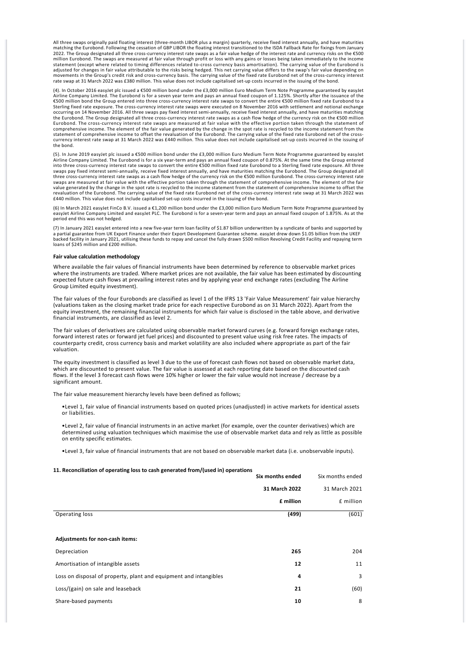All three swaps originally paid floating interest (three‐month LIBOR plus a margin) quarterly, receive fixed interest annually, and have maturities matching the Eurobond. Following the cessation of GBP LIBOR the floating interest transitioned to the ISDA Fallback Rate for fixings from January<br>2022. The Group designated all three cross-currency interest rate swaps as million Eurobond. The swaps are measured at fair value through profit or loss with any gains or losses being taken immediately to the income<br>statement (except where related to timing differences related to-cross currency b adjusted for changes in fair value attributable to the risks being hedged. This net carrying value differs to the swap's fair value depending on<br>movements in the Group's credit risk and cross-currency basis. The carrying v rate swap at 31 March 2022 was £380 million. This value does not include capitalised set-up costs incurred in the issuing of the bond.

(4). In October 2016 easylet plc issued a €500 million bond under the £3,000 million Euro Medium Term Note Programme guaranteed by easylet<br>Airline Company Limited. The Eurobond is for a seven year term and pays an annual €500 million bond the Group entered into three cross‐currency interest rate swaps to convert the entire €500 million fixed rate Eurobond to a Sterling fixed rate exposure. The cross‐currency interest rate swaps were executed on 8 November 2016 with settlement and notional exchange occurring on 14 November 2016. All three swaps pay fixed interest semi‐annually, receive fixed interest annually, and have maturities matching the Eurobond. The Group designated all three cross‐currency interest rate swaps as a cash flow hedge of the currency risk on the €500 million Eurobond. The cross-currency interest rate swaps are measured at fair value with the effective portion taken through the statement of<br>comprehensive income. The element of the fair value generated by the change in the spot currency interest rate swap at 31 March 2022 was £440 million. This value does not include capitalised set‐up costs incurred in the issuing of the bond.

(5). In June 2019 easyJet plc issued a €500 million bond under the £3,000 million Euro Medium Term Note Programme guaranteed by easyJet<br>Airline Company Limited. The Eurobond is for a six year-term and pays an annual fixed into three cross-currency interest rate swaps to convert the entire €500 million fixed rate Eurobond to a Sterling fixed rate exposure. All three<br>swaps pay fixed interest semi-annually, receive fixed interest annually, an three cross-currency interest rate swaps as a cash flow hedge of the currency risk on the €500 million Eurobond. The cross-currency interest rate<br>swaps are measured at fair value with the effective portion taken through t value generated by the change in the spot rate is recycled to the income statement from the statement of comprehensive income to offset the<br>revaluation of the Eurobond. The carrying value of the fixed rate Eurobond net of £440 million. This value does not include capitalised set‐up costs incurred in the issuing of the bond.

(6) In March 2021 easyJet FinCo B.V. issued a €1,200 million bond under the £3,000 million Euro Medium Term Note Programme guaranteed by easyJet Airline Company Limited and easyJet PLC. The Eurobond is for a seven-year term and pays an annual fixed coupon of 1.875%. As at the period end this was not hedged.

(7) In January 2021 easyJet entered into a new five-year term loan facility of \$1.87 billion underwritten by a syndicate of banks and supported by<br>a partial guarantee from UK Export Finance under their Export Development G

#### **Fair value calculation methodology**

Where available the fair values of financial instruments have been determined by reference to observable market prices where the instruments are traded. Where market prices are not available, the fair value has been estimated by discounting expected future cash flows at prevailing interest rates and by applying year end exchange rates (excluding The Airline Group Limited equity investment).

The fair values of the four Eurobonds are classified as level 1 of the IFRS 13 'Fair Value Measurement' fair value hierarchy (valuations taken as the closing market trade price for each respective Eurobond as on 31 March 2022). Apart from the equity investment, the remaining financial instruments for which fair value is disclosed in the table above, and derivative financial instruments, are classified as level 2.

The fair values of derivatives are calculated using observable market forward curves (e.g. forward foreign exchange rates, forward interest rates or forward jet fuel prices) and discounted to present value using risk free rates. The impacts of counterparty credit, cross currency basis and market volatility are also included where appropriate as part of the fair valuation.

The equity investment is classified as level 3 due to the use of forecast cash flows not based on observable market data. which are discounted to present value. The fair value is assessed at each reporting date based on the discounted cash flows. If the level 3 forecast cash flows were 10% higher or lower the fair value would not increase / decrease by a significant amount.

The fair value measurement hierarchy levels have been defined as follows;

•Level 1, fair value of financial instruments based on quoted prices (unadjusted) in active markets for identical assets or liabilities.

•Level 2, fair value of financial instruments in an active market (for example, over the counter derivatives) which are determined using valuation techniques which maximise the use of observable market data and rely as little as possible on entity specific estimates.

•Level 3, fair value of financial instruments that are not based on observable market data (i.e. unobservable inputs).

# **11. Reconciliation of operating loss to cash generated from/(used in) operations**

|                                                                   | Six months ended | Six months ended |
|-------------------------------------------------------------------|------------------|------------------|
|                                                                   | 31 March 2022    | 31 March 2021    |
|                                                                   | £ million        | £ million        |
| Operating loss                                                    | (499)            | (601)            |
|                                                                   |                  |                  |
| Adjustments for non-cash items:                                   |                  |                  |
| Depreciation                                                      | 265              | 204              |
| Amortisation of intangible assets                                 | 12               | 11               |
| Loss on disposal of property, plant and equipment and intangibles | 4                | 3                |
| Loss/(gain) on sale and leaseback                                 | 21               | (60)             |
| Share-based payments                                              | 10               | 8                |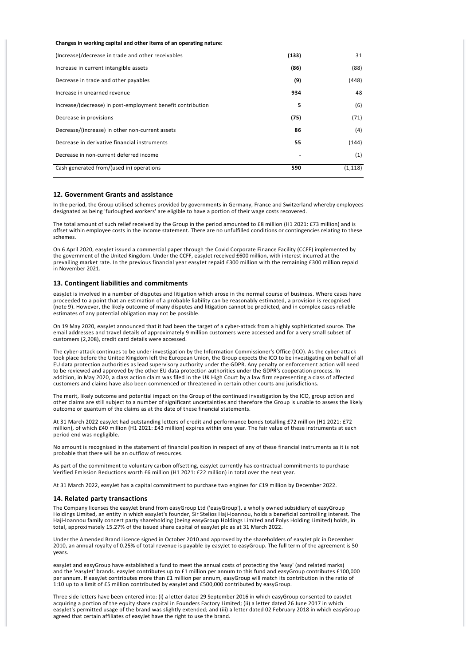#### **Changes in working capital and other items of an operating nature:**

| (Increase)/decrease in trade and other receivables          | (133) | 31       |
|-------------------------------------------------------------|-------|----------|
| Increase in current intangible assets                       | (86)  | (88)     |
| Decrease in trade and other payables                        | (9)   | (448)    |
| Increase in unearned revenue                                | 934   | 48       |
| Increase/(decrease) in post-employment benefit contribution | 5     | (6)      |
| Decrease in provisions                                      | (75)  | (71)     |
| Decrease/(increase) in other non-current assets             | 86    | (4)      |
| Decrease in derivative financial instruments                | 55    | (144)    |
| Decrease in non-current deferred income                     |       | (1)      |
| Cash generated from/(used in) operations                    | 590   | (1, 118) |

#### **12. Government Grants and assistance**

In the period, the Group utilised schemes provided by governments in Germany, France and Switzerland whereby employees designated as being 'furloughed workers' are eligible to have a portion of their wage costs recovered.

The total amount of such relief received by the Group in the period amounted to £8 million (H1 2021: £73 million) and is offset within employee costs in the Income statement. There are no unfulfilled conditions or contingencies relating to these schemes.

On 6 April 2020, easyJet issued a commercial paper through the Covid Corporate Finance Facility (CCFF) implemented by the government of the United Kingdom. Under the CCFF, easyJet received £600 million, with interest incurred at the prevailing market rate. In the previous financial year easyJet repaid £300 million with the remaining £300 million repaid in November 2021.

#### **13. Contingent liabilities and commitments**

easyJet is involved in a number of disputes and litigation which arose in the normal course of business. Where cases have proceeded to a point that an estimation of a probable liability can be reasonably estimated, a provision is recognised (note 9). However, the likely outcome of many disputes and litigation cannot be predicted, and in complex cases reliable estimates of any potential obligation may not be possible.

On 19 May 2020, easyJet announced that it had been the target of a cyber‐attack from a highly sophisticated source. The email addresses and travel details of approximately 9 million customers were accessed and for a very small subset of customers (2,208), credit card details were accessed.

The cyber-attack continues to be under investigation by the Information Commissioner's Office (ICO). As the cyber-attack took place before the United Kingdom left the European Union, the Group expects the ICO to be investigating on behalf of all EU data protection authorities as lead supervisory authority under the GDPR. Any penalty or enforcement action will need to be reviewed and approved by the other EU data protection authorities under the GDPR's cooperation process. In addition, in May 2020, a class action claim was filed in the UK High Court by a law firm representing a class of affected customers and claims have also been commenced or threatened in certain other courts and jurisdictions.

The merit, likely outcome and potential impact on the Group of the continued investigation by the ICO, group action and other claims are still subject to a number of significant uncertainties and therefore the Group is unable to assess the likely outcome or quantum of the claims as at the date of these financial statements.

At 31 March 2022 easyJet had outstanding letters of credit and performance bonds totalling £72 million (H1 2021: £72 million), of which £40 million (H1 2021: £43 million) expires within one year. The fair value of these instruments at each period end was negligible.

No amount is recognised in the statement of financial position in respect of any of these financial instruments as it is not probable that there will be an outflow of resources.

As part of the commitment to voluntary carbon offsetting, easyJet currently has contractual commitments to purchase Verified Emission Reductions worth £6 million (H1 2021: £22 million) in total over the next year.

At 31 March 2022, easyJet has a capital commitment to purchase two engines for £19 million by December 2022.

### **14. Related party transactions**

The Company licenses the easyJet brand from easyGroup Ltd ('easyGroup'), a wholly owned subsidiary of easyGroup Holdings Limited, an entity in which easyJet's founder, Sir Stelios Haji‐Ioannou, holds a beneficial controlling interest. The Haji‐Ioannou family concert party shareholding (being easyGroup Holdings Limited and Polys Holding Limited) holds, in total, approximately 15.27% of the issued share capital of easyJet plc as at 31 March 2022.

Under the Amended Brand Licence signed in October 2010 and approved by the shareholders of easyJet plc in December 2010, an annual royalty of 0.25% of total revenue is payable by easyJet to easyGroup. The full term of the agreement is 50 years.

easyJet and easyGroup have established a fund to meet the annual costs of protecting the 'easy' (and related marks) and the 'easyJet' brands. easyJet contributes up to £1 million per annum to this fund and easyGroup contributes £100,000 per annum. If easyJet contributes more than £1 million per annum, easyGroup will match its contribution in the ratio of 1:10 up to a limit of £5 million contributed by easyJet and £500,000 contributed by easyGroup.

Three side letters have been entered into: (i) a letter dated 29 September 2016 in which easyGroup consented to easyJet acquiring a portion of the equity share capital in Founders Factory Limited; (ii) a letter dated 26 June 2017 in which easyJet's permitted usage of the brand was slightly extended; and (iii) a letter dated 02 February 2018 in which easyGroup agreed that certain affiliates of easyJet have the right to use the brand.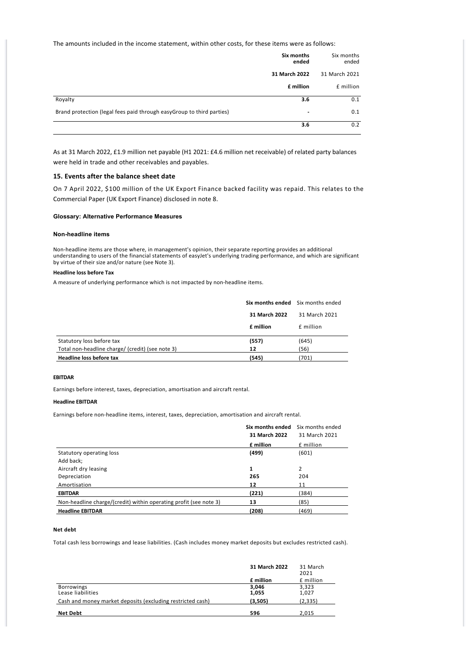The amounts included in the income statement, within other costs, for these items were as follows:

|                                                                       | Six months<br>ended | Six months<br>ended |
|-----------------------------------------------------------------------|---------------------|---------------------|
|                                                                       | 31 March 2022       | 31 March 2021       |
|                                                                       | £ million           | £ million           |
| Royalty                                                               | 3.6                 | 0.1                 |
| Brand protection (legal fees paid through easyGroup to third parties) | ٠                   | 0.1                 |
|                                                                       | 3.6                 | 0.2                 |

As at 31 March 2022, £1.9 million net payable (H1 2021: £4.6 million net receivable) of related party balances were held in trade and other receivables and payables.

# **15. Events after the balance sheet date**

On 7 April 2022, \$100 million of the UK Export Finance backed facility was repaid. This relates to the Commercial Paper (UK Export Finance) disclosed in note 8.

# **Glossary: Alternative Performance Measures**

### **Non-headline items**

Non‐headline items are those where, in management's opinion, their separate reporting provides an additional understanding to users of the financial statements of easyJet's underlying trading performance, and which are significant by virtue of their size and/or nature (see Note 3).

# **Headline loss before Tax**

A measure of underlying performance which is not impacted by non‐headline items.

|                                                  | Six months ended Six months ended |               |
|--------------------------------------------------|-----------------------------------|---------------|
|                                                  | 31 March 2022                     | 31 March 2021 |
|                                                  | £ million                         | £ million     |
| Statutory loss before tax                        | (557)                             | (645)         |
| Total non-headline charge/ (credit) (see note 3) | 12                                | (56)          |
| Headline loss before tax                         | (545)                             | 701)          |

### **EBITDAR**

Earnings before interest, taxes, depreciation, amortisation and aircraft rental.

# **Headline EBITDAR**

Earnings before non‐headline items, interest, taxes, depreciation, amortisation and aircraft rental.

|                                                                   | Six months ended | Six months ended |
|-------------------------------------------------------------------|------------------|------------------|
|                                                                   | 31 March 2022    | 31 March 2021    |
|                                                                   | £ million        | £ million        |
| Statutory operating loss                                          | (499)            | (601)            |
| Add back;                                                         |                  |                  |
| Aircraft dry leasing                                              | 1                | 2                |
| Depreciation                                                      | 265              | 204              |
| Amortisation                                                      | 12               | 11               |
| <b>EBITDAR</b>                                                    | (221)            | (384)            |
| Non-headline charge/(credit) within operating profit (see note 3) | 13               | (85)             |
| <b>Headline EBITDAR</b>                                           | (208)            | (469)            |

#### **Net debt**

Total cash less borrowings and lease liabilities. (Cash includes money market deposits but excludes restricted cash).

|                                                            | 31 March 2022  | 31 March<br>2021 |
|------------------------------------------------------------|----------------|------------------|
|                                                            | £ million      | £ million        |
| <b>Borrowings</b><br>Lease liabilities                     | 3,046<br>1,055 | 3,323<br>1,027   |
| Cash and money market deposits (excluding restricted cash) | (3,505)        | (2, 335)         |
| <b>Net Debt</b>                                            | 596            | 2,015            |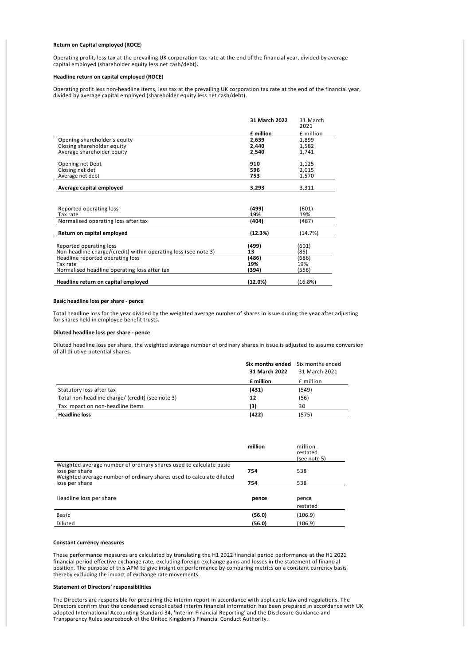#### **Return on Capital employed (ROCE**)

Operating profit, less tax at the prevailing UK corporation tax rate at the end of the financial year, divided by average capital employed (shareholder equity less net cash/debt).

#### **Headline return on capital employed (ROCE**)

Operating profit less non‐headline items, less tax at the prevailing UK corporation tax rate at the end of the financial year, divided by average capital employed (shareholder equity less net cash/debt).

|                                                                 | 31 March 2022 | 31 March<br>2021 |
|-----------------------------------------------------------------|---------------|------------------|
|                                                                 | £ million     | £ million        |
| Opening shareholder's equity                                    | 2,639         | 1,899            |
| Closing shareholder equity                                      | 2,440         | 1,582            |
| Average shareholder equity                                      | 2,540         | 1,741            |
| Opening net Debt                                                | 910           | 1,125            |
| Closing net det                                                 | 596           | 2,015            |
| Average net debt                                                | 753           | 1,570            |
| Average capital employed                                        | 3,293         | 3,311            |
|                                                                 |               |                  |
| Reported operating loss                                         | (499)         | (601)            |
| Tax rate                                                        | 19%           | 19%              |
| Normalised operating loss after tax                             | (404)         | (487)            |
| Return on capital employed                                      | (12.3%)       | (14.7%)          |
| Reported operating loss                                         | (499)         | (601)            |
| Non-headline charge/(credit) within operating loss (see note 3) | 13            | 85)              |
| Headline reported operating loss                                | (486)         | (686)            |
| Tax rate                                                        | 19%           | 19%              |
| Normalised headline operating loss after tax                    | (394)         | (556)            |
| Headline return on capital employed                             | (12.0%)       | (16.8%)          |

#### **Basic headline loss per share ‐ pence**

Total headline loss for the year divided by the weighted average number of shares in issue during the year after adjusting for shares held in employee benefit trusts.

# **Diluted headline loss per share ‐ pence**

Diluted headline loss per share, the weighted average number of ordinary shares in issue is adjusted to assume conversion of all dilutive potential shares.

|                                                  | Six months ended | Six months ended |
|--------------------------------------------------|------------------|------------------|
|                                                  | 31 March 2022    | 31 March 2021    |
|                                                  | £ million        | £ million        |
| Statutory loss after tax                         | (431)            | (549)            |
| Total non-headline charge/ (credit) (see note 3) | 12               | (56)             |
| Tax impact on non-headline items                 | (3)              | 30               |
| <b>Headline loss</b>                             | (422)            | (575)            |

|                                                                                                                                                              | million | million<br>restated<br>(see note 5) |  |
|--------------------------------------------------------------------------------------------------------------------------------------------------------------|---------|-------------------------------------|--|
| Weighted average number of ordinary shares used to calculate basic<br>loss per share<br>Weighted average number of ordinary shares used to calculate diluted | 754     | 538                                 |  |
| loss per share                                                                                                                                               | 754     | 538                                 |  |
|                                                                                                                                                              |         |                                     |  |
| Headline loss per share                                                                                                                                      | pence   | pence                               |  |
|                                                                                                                                                              |         | restated                            |  |
| Basic                                                                                                                                                        | (56.0)  | (106.9)                             |  |
| Diluted                                                                                                                                                      | (56.0)  | (106.9)                             |  |

#### **Constant currency measures**

These performance measures are calculated by translating the H1 2022 financial period performance at the H1 2021 financial period effective exchange rate, excluding foreign exchange gains and losses in the statement of financial position. The purpose of this APM to give insight on performance by comparing metrics on a constant currency basis thereby excluding the impact of exchange rate movements.

#### **Statement of Directors' responsibilities**

The Directors are responsible for preparing the interim report in accordance with applicable law and regulations. The Directors confirm that the condensed consolidated interim financial information has been prepared in accordance with UK adopted International Accounting Standard 34, 'Interim Financial Reporting' and the Disclosure Guidance and Transparency Rules sourcebook of the United Kingdom's Financial Conduct Authority.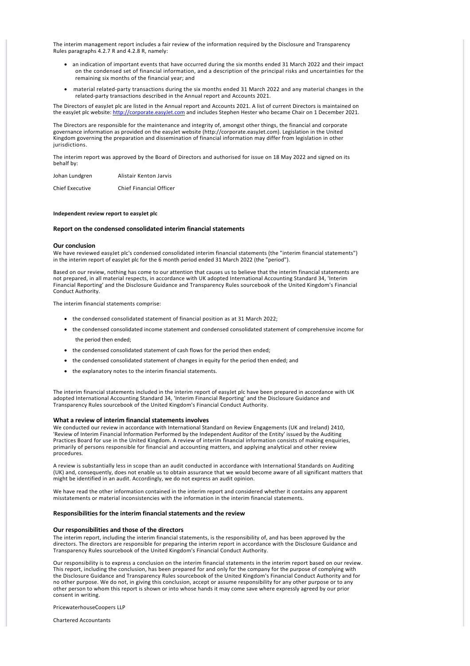The interim management report includes a fair review of the information required by the Disclosure and Transparency Rules paragraphs 4.2.7 R and 4.2.8 R, namely:

- · an indication of important events that have occurred during the six months ended 31 March 2022 and their impact on the condensed set of financial information, and a description of the principal risks and uncertainties for the remaining six months of the financial year; and
- · material related‐party transactions during the six months ended 31 March 2022 and any material changes in the related‐party transactions described in the Annual report and Accounts 2021.

The Directors of easyJet plc are listed in the Annual report and Accounts 2021. A list of current Directors is maintained on the easyJet plc website: [http://corporate.easyJet.com](http://corporate.easyjet.com) and includes Stephen Hester who became Chair on 1 December 2021.

The Directors are responsible for the maintenance and integrity of, amongst other things, the financial and corporate governance information as provided on the easyJet website (http://corporate.easyJet.com). Legislation in the United Kingdom governing the preparation and dissemination of financial information may differ from legislation in other jurisdictions.

The interim report was approved by the Board of Directors and authorised for issue on 18 May 2022 and signed on its behalf by:

| Johan Lundgren | Alistair Kenton Jarvis |
|----------------|------------------------|
|                |                        |

Chief Executive Chief Financial Officer

### **Independent review report to easyJet plc**

# **Report on the condensed consolidated interim financial statements**

#### **Our conclusion**

We have reviewed easyJet plc's condensed consolidated interim financial statements (the "interim financial statements") in the interim report of easyJet plc for the 6 month period ended 31 March 2022 (the "period").

Based on our review, nothing has come to our attention that causes us to believe that the interim financial statements are not prepared, in all material respects, in accordance with UK adopted International Accounting Standard 34, 'Interim Financial Reporting' and the Disclosure Guidance and Transparency Rules sourcebook of the United Kingdom's Financial Conduct Authority.

The interim financial statements comprise:

- · the condensed consolidated statement of financial position as at 31 March 2022;
- · the condensed consolidated income statement and condensed consolidated statement of comprehensive income for the period then ended;
- · the condensed consolidated statement of cash flows for the period then ended;
- · the condensed consolidated statement of changes in equity for the period then ended; and
- · the explanatory notes to the interim financial statements.

The interim financial statements included in the interim report of easyJet plc have been prepared in accordance with UK adopted International Accounting Standard 34, 'Interim Financial Reporting' and the Disclosure Guidance and Transparency Rules sourcebook of the United Kingdom's Financial Conduct Authority.

# **What a review of interim financial statements involves**

We conducted our review in accordance with International Standard on Review Engagements (UK and Ireland) 2410, 'Review of Interim Financial Information Performed by the Independent Auditor of the Entity' issued by the Auditing Practices Board for use in the United Kingdom. A review of interim financial information consists of making enquiries, primarily of persons responsible for financial and accounting matters, and applying analytical and other review procedures.

A review is substantially less in scope than an audit conducted in accordance with International Standards on Auditing (UK) and, consequently, does not enable us to obtain assurance that we would become aware of all significant matters that might be identified in an audit. Accordingly, we do not express an audit opinion.

We have read the other information contained in the interim report and considered whether it contains any apparent misstatements or material inconsistencies with the information in the interim financial statements.

### **Responsibilities for the interim financial statements and the review**

#### **Our responsibilities and those of the directors**

The interim report, including the interim financial statements, is the responsibility of, and has been approved by the directors. The directors are responsible for preparing the interim report in accordance with the Disclosure Guidance and Transparency Rules sourcebook of the United Kingdom's Financial Conduct Authority.

Our responsibility is to express a conclusion on the interim financial statements in the interim report based on our review. This report, including the conclusion, has been prepared for and only for the company for the purpose of complying with the Disclosure Guidance and Transparency Rules sourcebook of the United Kingdom's Financial Conduct Authority and for no other purpose. We do not, in giving this conclusion, accept or assume responsibility for any other purpose or to any other person to whom this report is shown or into whose hands it may come save where expressly agreed by our prior consent in writing.

PricewaterhouseCoopers LLP

Chartered Accountants